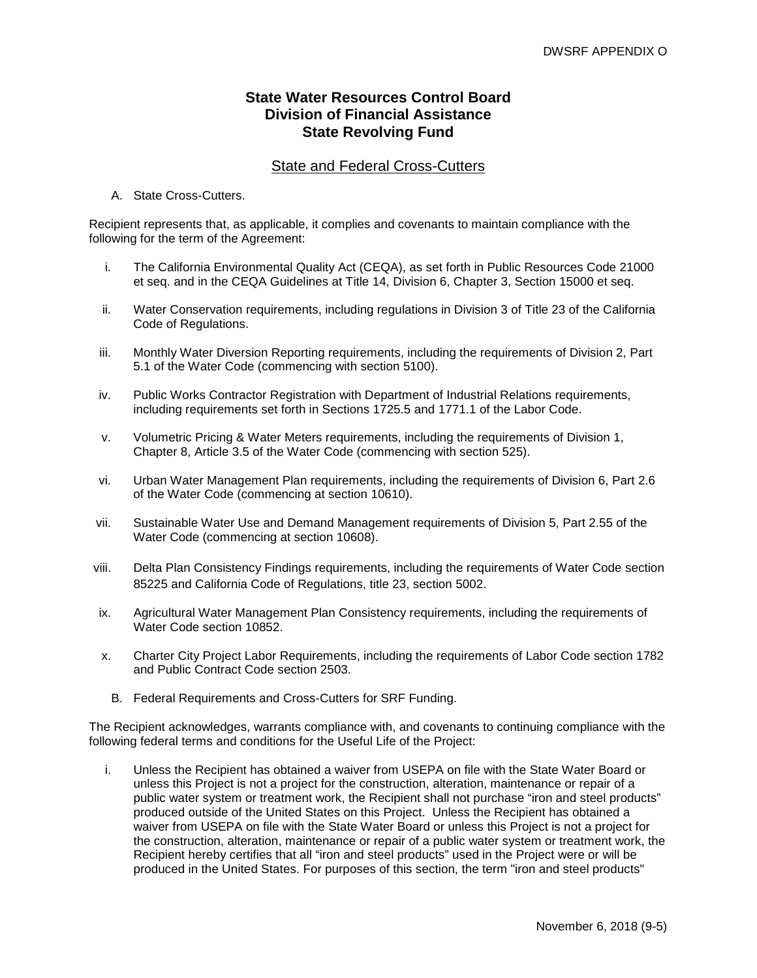# **State Water Resources Control Board Division of Financial Assistance State Revolving Fund**

## State and Federal Cross-Cutters

## A. State Cross-Cutters.

Recipient represents that, as applicable, it complies and covenants to maintain compliance with the following for the term of the Agreement:

- i. The California Environmental Quality Act (CEQA), as set forth in Public Resources Code 21000 et seq. and in the CEQA Guidelines at Title 14, Division 6, Chapter 3, Section 15000 et seq.
- ii. Water Conservation requirements, including regulations in Division 3 of Title 23 of the California Code of Regulations.
- iii. Monthly Water Diversion Reporting requirements, including the requirements of Division 2, Part 5.1 of the Water Code (commencing with section 5100).
- iv. Public Works Contractor Registration with Department of Industrial Relations requirements, including requirements set forth in Sections 1725.5 and 1771.1 of the Labor Code.
- v. Volumetric Pricing & Water Meters requirements, including the requirements of Division 1, Chapter 8, Article 3.5 of the Water Code (commencing with section 525).
- vi. Urban Water Management Plan requirements, including the requirements of Division 6, Part 2.6 of the Water Code (commencing at section 10610).
- vii. Sustainable Water Use and Demand Management requirements of Division 5, Part 2.55 of the Water Code (commencing at section 10608).
- viii. Delta Plan Consistency Findings requirements, including the requirements of Water Code section 85225 and California Code of Regulations, title 23, section 5002.
- ix. Agricultural Water Management Plan Consistency requirements, including the requirements of Water Code section 10852.
- x. Charter City Project Labor Requirements, including the requirements of Labor Code section 1782 and Public Contract Code section 2503.
	- B. Federal Requirements and Cross-Cutters for SRF Funding.

The Recipient acknowledges, warrants compliance with, and covenants to continuing compliance with the following federal terms and conditions for the Useful Life of the Project:

i. Unless the Recipient has obtained a waiver from USEPA on file with the State Water Board or unless this Project is not a project for the construction, alteration, maintenance or repair of a public water system or treatment work, the Recipient shall not purchase "iron and steel products" produced outside of the United States on this Project. Unless the Recipient has obtained a waiver from USEPA on file with the State Water Board or unless this Project is not a project for the construction, alteration, maintenance or repair of a public water system or treatment work, the Recipient hereby certifies that all "iron and steel products" used in the Project were or will be produced in the United States. For purposes of this section, the term "iron and steel products"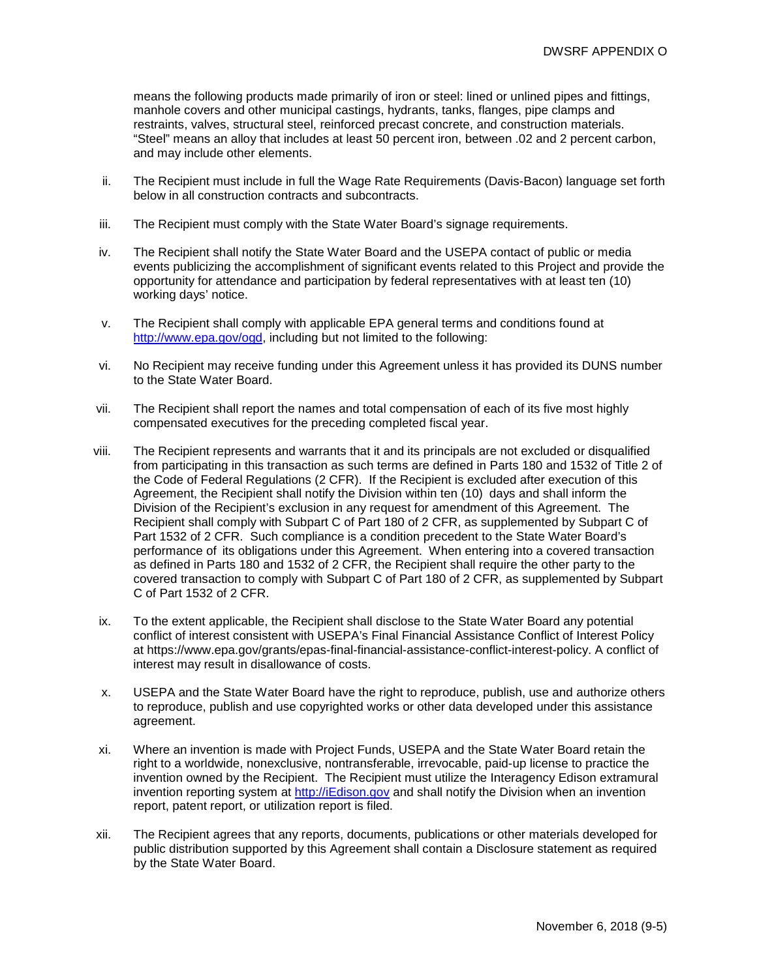means the following products made primarily of iron or steel: lined or unlined pipes and fittings, manhole covers and other municipal castings, hydrants, tanks, flanges, pipe clamps and restraints, valves, structural steel, reinforced precast concrete, and construction materials. "Steel" means an alloy that includes at least 50 percent iron, between .02 and 2 percent carbon, and may include other elements.

- ii. The Recipient must include in full the Wage Rate Requirements (Davis-Bacon) language set forth below in all construction contracts and subcontracts.
- iii. The Recipient must comply with the State Water Board's signage requirements.
- iv. The Recipient shall notify the State Water Board and the USEPA contact of public or media events publicizing the accomplishment of significant events related to this Project and provide the opportunity for attendance and participation by federal representatives with at least ten (10) working days' notice.
- v. The Recipient shall comply with applicable EPA general terms and conditions found at [http://www.epa.gov/ogd,](http://www.epa.gov/ogd) including but not limited to the following:
- vi. No Recipient may receive funding under this Agreement unless it has provided its DUNS number to the State Water Board.
- vii. The Recipient shall report the names and total compensation of each of its five most highly compensated executives for the preceding completed fiscal year.
- viii. The Recipient represents and warrants that it and its principals are not excluded or disqualified from participating in this transaction as such terms are defined in Parts 180 and 1532 of Title 2 of the Code of Federal Regulations (2 CFR). If the Recipient is excluded after execution of this Agreement, the Recipient shall notify the Division within ten (10) days and shall inform the Division of the Recipient's exclusion in any request for amendment of this Agreement. The Recipient shall comply with Subpart C of Part 180 of 2 CFR, as supplemented by Subpart C of Part 1532 of 2 CFR. Such compliance is a condition precedent to the State Water Board's performance of its obligations under this Agreement. When entering into a covered transaction as defined in Parts 180 and 1532 of 2 CFR, the Recipient shall require the other party to the covered transaction to comply with Subpart C of Part 180 of 2 CFR, as supplemented by Subpart C of Part 1532 of 2 CFR.
- ix. To the extent applicable, the Recipient shall disclose to the State Water Board any potential conflict of interest consistent with USEPA's Final Financial Assistance Conflict of Interest Policy at [https://www.epa.gov/grants/epas-final-financial-assistance-conflict-interest-policy.](https://www.epa.gov/grants/epas-final-financial-assistance-conflict-interest-policy) A conflict of interest may result in disallowance of costs.
- x. USEPA and the State Water Board have the right to reproduce, publish, use and authorize others to reproduce, publish and use copyrighted works or other data developed under this assistance agreement.
- xi. Where an invention is made with Project Funds, USEPA and the State Water Board retain the right to a worldwide, nonexclusive, nontransferable, irrevocable, paid-up license to practice the invention owned by the Recipient. The Recipient must utilize the Interagency Edison extramural invention reporting system at [http://iEdison.gov](http://iedison.gov/) and shall notify the Division when an invention report, patent report, or utilization report is filed.
- xii. The Recipient agrees that any reports, documents, publications or other materials developed for public distribution supported by this Agreement shall contain a Disclosure statement as required by the State Water Board.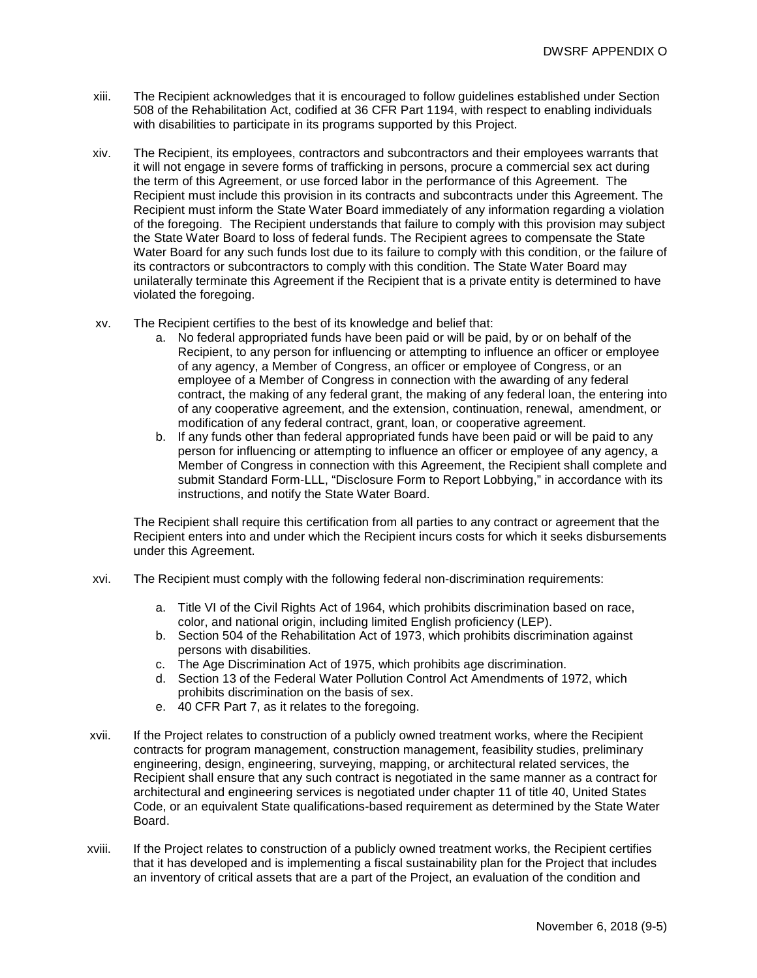- xiii. The Recipient acknowledges that it is encouraged to follow guidelines established under Section 508 of the Rehabilitation Act, codified at 36 CFR Part 1194, with respect to enabling individuals with disabilities to participate in its programs supported by this Project.
- xiv. The Recipient, its employees, contractors and subcontractors and their employees warrants that it will not engage in severe forms of trafficking in persons, procure a commercial sex act during the term of this Agreement, or use forced labor in the performance of this Agreement. The Recipient must include this provision in its contracts and subcontracts under this Agreement. The Recipient must inform the State Water Board immediately of any information regarding a violation of the foregoing. The Recipient understands that failure to comply with this provision may subject the State Water Board to loss of federal funds. The Recipient agrees to compensate the State Water Board for any such funds lost due to its failure to comply with this condition, or the failure of its contractors or subcontractors to comply with this condition. The State Water Board may unilaterally terminate this Agreement if the Recipient that is a private entity is determined to have violated the foregoing.
- xv. The Recipient certifies to the best of its knowledge and belief that:
	- a. No federal appropriated funds have been paid or will be paid, by or on behalf of the Recipient, to any person for influencing or attempting to influence an officer or employee of any agency, a Member of Congress, an officer or employee of Congress, or an employee of a Member of Congress in connection with the awarding of any federal contract, the making of any federal grant, the making of any federal loan, the entering into of any cooperative agreement, and the extension, continuation, renewal, amendment, or modification of any federal contract, grant, loan, or cooperative agreement.
	- b. If any funds other than federal appropriated funds have been paid or will be paid to any person for influencing or attempting to influence an officer or employee of any agency, a Member of Congress in connection with this Agreement, the Recipient shall complete and submit Standard Form-LLL, "Disclosure Form to Report Lobbying," in accordance with its instructions, and notify the State Water Board.

The Recipient shall require this certification from all parties to any contract or agreement that the Recipient enters into and under which the Recipient incurs costs for which it seeks disbursements under this Agreement.

- xvi. The Recipient must comply with the following federal non-discrimination requirements:
	- a. Title VI of the Civil Rights Act of 1964, which prohibits discrimination based on race, color, and national origin, including limited English proficiency (LEP).
	- b. Section 504 of the Rehabilitation Act of 1973, which prohibits discrimination against persons with disabilities.
	- c. The Age Discrimination Act of 1975, which prohibits age discrimination.
	- d. Section 13 of the Federal Water Pollution Control Act Amendments of 1972, which prohibits discrimination on the basis of sex.
	- e. 40 CFR Part 7, as it relates to the foregoing.
- xvii. If the Project relates to construction of a publicly owned treatment works, where the Recipient contracts for program management, construction management, feasibility studies, preliminary engineering, design, engineering, surveying, mapping, or architectural related services, the Recipient shall ensure that any such contract is negotiated in the same manner as a contract for architectural and engineering services is negotiated under chapter 11 of title 40, United States Code, or an equivalent State qualifications-based requirement as determined by the State Water Board.
- xviii. If the Project relates to construction of a publicly owned treatment works, the Recipient certifies that it has developed and is implementing a fiscal sustainability plan for the Project that includes an inventory of critical assets that are a part of the Project, an evaluation of the condition and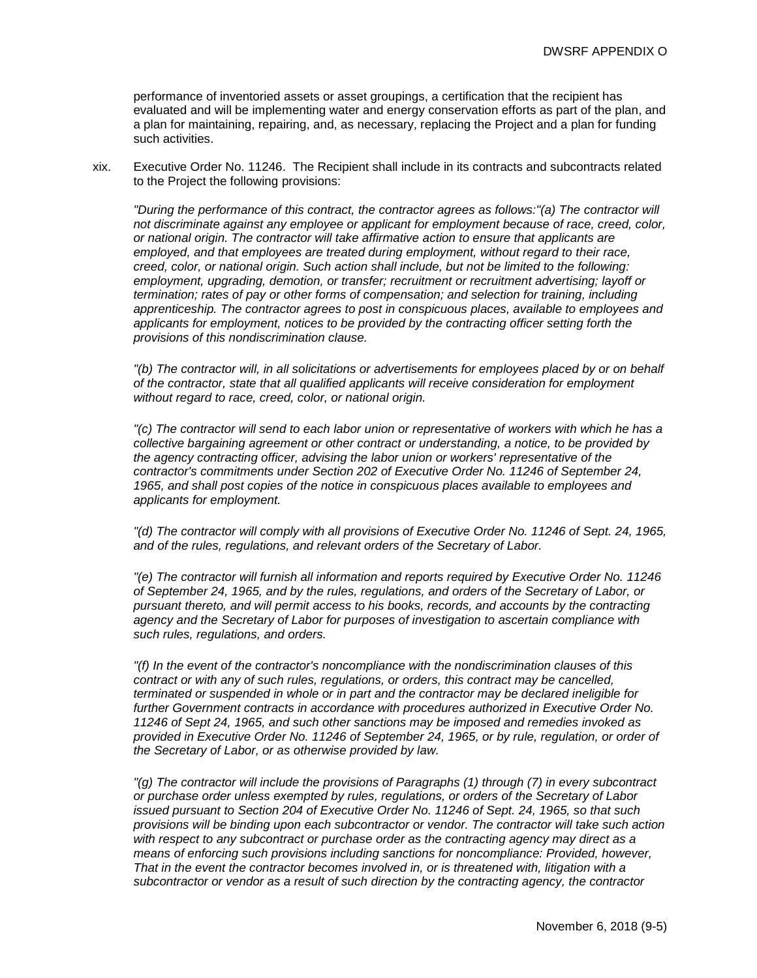performance of inventoried assets or asset groupings, a certification that the recipient has evaluated and will be implementing water and energy conservation efforts as part of the plan, and a plan for maintaining, repairing, and, as necessary, replacing the Project and a plan for funding such activities.

xix. Executive Order No. 11246. The Recipient shall include in its contracts and subcontracts related to the Project the following provisions:

*"During the performance of this contract, the contractor agrees as follows:"(a) The contractor will not discriminate against any employee or applicant for employment because of race, creed, color, or national origin. The contractor will take affirmative action to ensure that applicants are employed, and that employees are treated during employment, without regard to their race, creed, color, or national origin. Such action shall include, but not be limited to the following: employment, upgrading, demotion, or transfer; recruitment or recruitment advertising; layoff or termination; rates of pay or other forms of compensation; and selection for training, including apprenticeship. The contractor agrees to post in conspicuous places, available to employees and applicants for employment, notices to be provided by the contracting officer setting forth the provisions of this nondiscrimination clause.*

*"(b) The contractor will, in all solicitations or advertisements for employees placed by or on behalf of the contractor, state that all qualified applicants will receive consideration for employment without regard to race, creed, color, or national origin.*

*"(c) The contractor will send to each labor union or representative of workers with which he has a collective bargaining agreement or other contract or understanding, a notice, to be provided by the agency contracting officer, advising the labor union or workers' representative of the contractor's commitments under Section 202 of Executive Order No. 11246 of September 24, 1965, and shall post copies of the notice in conspicuous places available to employees and applicants for employment.*

*"(d) The contractor will comply with all provisions of Executive Order No. 11246 of Sept. 24, 1965, and of the rules, regulations, and relevant orders of the Secretary of Labor.*

*"(e) The contractor will furnish all information and reports required by Executive Order No. 11246 of September 24, 1965, and by the rules, regulations, and orders of the Secretary of Labor, or pursuant thereto, and will permit access to his books, records, and accounts by the contracting agency and the Secretary of Labor for purposes of investigation to ascertain compliance with such rules, regulations, and orders.*

*"(f) In the event of the contractor's noncompliance with the nondiscrimination clauses of this contract or with any of such rules, regulations, or orders, this contract may be cancelled, terminated or suspended in whole or in part and the contractor may be declared ineligible for*  further Government contracts in accordance with procedures authorized in Executive Order No. *11246 of Sept 24, 1965, and such other sanctions may be imposed and remedies invoked as provided in Executive Order No. 11246 of September 24, 1965, or by rule, regulation, or order of the Secretary of Labor, or as otherwise provided by law.*

*"(g) The contractor will include the provisions of Paragraphs (1) through (7) in every subcontract or purchase order unless exempted by rules, regulations, or orders of the Secretary of Labor issued pursuant to Section 204 of Executive Order No. 11246 of Sept. 24, 1965, so that such provisions will be binding upon each subcontractor or vendor. The contractor will take such action with respect to any subcontract or purchase order as the contracting agency may direct as a means of enforcing such provisions including sanctions for noncompliance: Provided, however, That in the event the contractor becomes involved in, or is threatened with, litigation with a subcontractor or vendor as a result of such direction by the contracting agency, the contractor*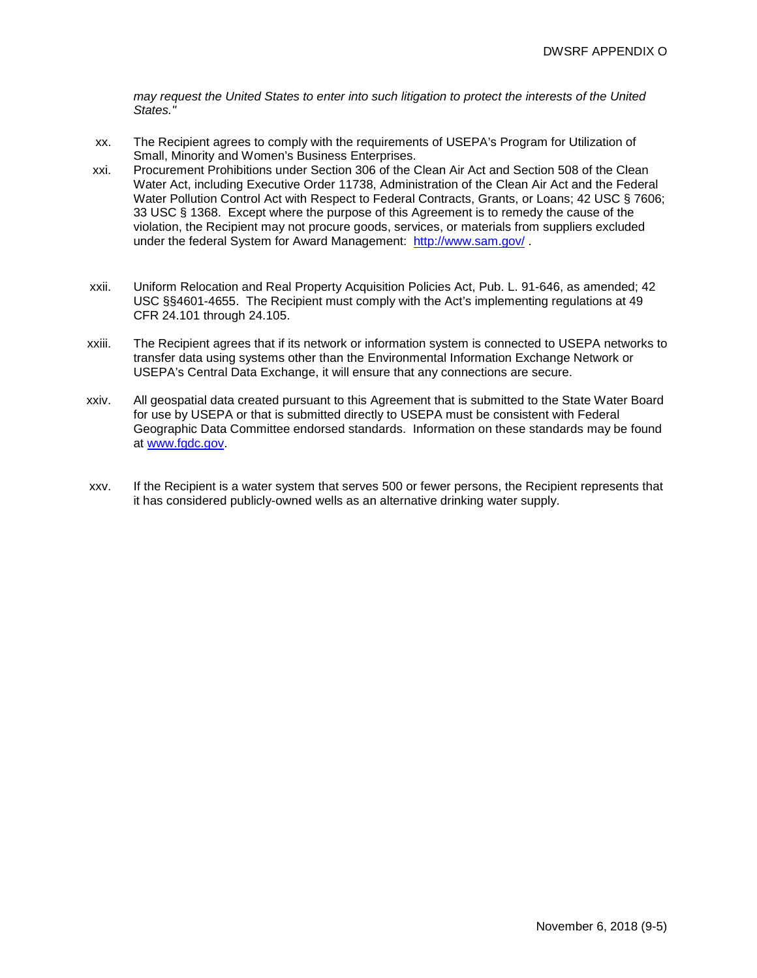*may request the United States to enter into such litigation to protect the interests of the United States."*

- xx. The Recipient agrees to comply with the requirements of USEPA's Program for Utilization of Small, Minority and Women's Business Enterprises.
- xxi. Procurement Prohibitions under Section 306 of the Clean Air Act and Section 508 of the Clean Water Act, including Executive Order 11738, Administration of the Clean Air Act and the Federal Water Pollution Control Act with Respect to Federal Contracts, Grants, or Loans; 42 USC § 7606; 33 USC § 1368. Except where the purpose of this Agreement is to remedy the cause of the violation, the Recipient may not procure goods, services, or materials from suppliers excluded under the federal System for Award Management: <http://www.sam.gov/> .
- xxii. Uniform Relocation and Real Property Acquisition Policies Act, Pub. L. 91-646, as amended; 42 USC §§4601-4655. The Recipient must comply with the Act's implementing regulations at 49 CFR 24.101 through 24.105.
- xxiii. The Recipient agrees that if its network or information system is connected to USEPA networks to transfer data using systems other than the Environmental Information Exchange Network or USEPA's Central Data Exchange, it will ensure that any connections are secure.
- xxiv. All geospatial data created pursuant to this Agreement that is submitted to the State Water Board for use by USEPA or that is submitted directly to USEPA must be consistent with Federal Geographic Data Committee endorsed standards. Information on these standards may be found at [www.fgdc.gov.](http://www.fgdc.gov/)
- xxv. If the Recipient is a water system that serves 500 or fewer persons, the Recipient represents that it has considered publicly-owned wells as an alternative drinking water supply.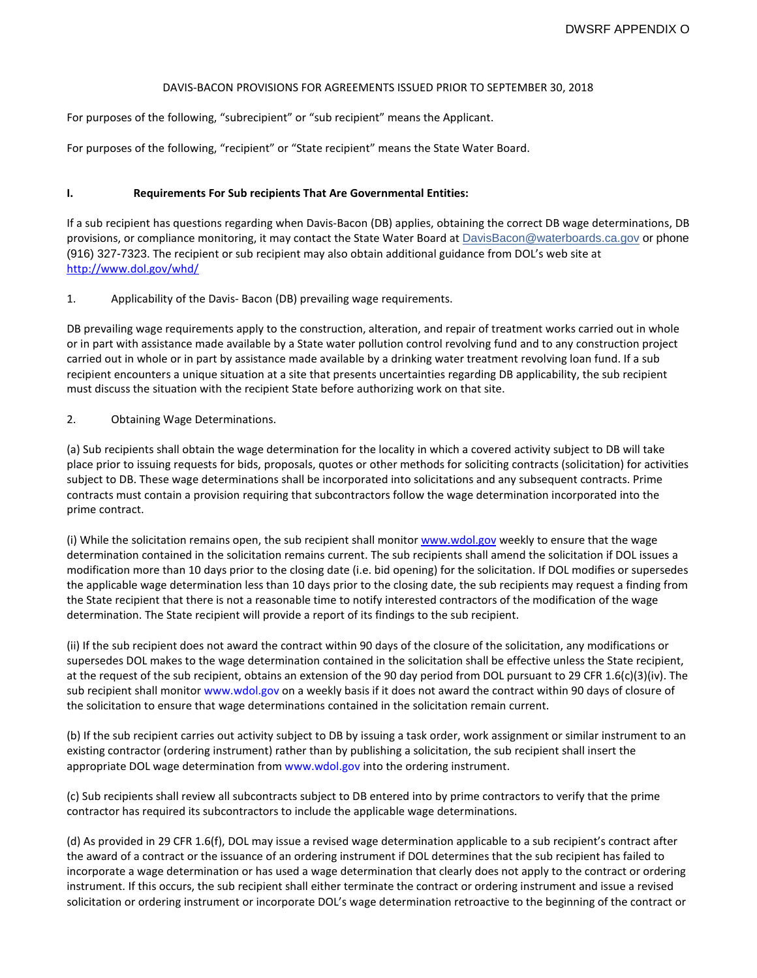#### DAVIS-BACON PROVISIONS FOR AGREEMENTS ISSUED PRIOR TO SEPTEMBER 30, 2018

For purposes of the following, "subrecipient" or "sub recipient" means the Applicant.

For purposes of the following, "recipient" or "State recipient" means the State Water Board.

#### **I. Requirements For Sub recipients That Are Governmental Entities:**

If a sub recipient has questions regarding when Davis-Bacon (DB) applies, obtaining the correct DB wage determinations, DB provisions, or compliance monitoring, it may contact the State Water Board at [DavisBacon@waterboards.ca.gov](mailto:DavisBacon@waterboards.ca.gov) or phone (916) 327-7323. The recipient or sub recipient may also obtain additional guidance from DOL's web site at <http://www.dol.gov/whd/>

1. Applicability of the Davis- Bacon (DB) prevailing wage requirements.

DB prevailing wage requirements apply to the construction, alteration, and repair of treatment works carried out in whole or in part with assistance made available by a State water pollution control revolving fund and to any construction project carried out in whole or in part by assistance made available by a drinking water treatment revolving loan fund. If a sub recipient encounters a unique situation at a site that presents uncertainties regarding DB applicability, the sub recipient must discuss the situation with the recipient State before authorizing work on that site.

#### 2. Obtaining Wage Determinations.

(a) Sub recipients shall obtain the wage determination for the locality in which a covered activity subject to DB will take place prior to issuing requests for bids, proposals, quotes or other methods for soliciting contracts (solicitation) for activities subject to DB. These wage determinations shall be incorporated into solicitations and any subsequent contracts. Prime contracts must contain a provision requiring that subcontractors follow the wage determination incorporated into the prime contract.

(i) While the solicitation remains open, the sub recipient shall monito[r www.wdol.gov](http://www.wdol.gov/) weekly to ensure that the wage determination contained in the solicitation remains current. The sub recipients shall amend the solicitation if DOL issues a modification more than 10 days prior to the closing date (i.e. bid opening) for the solicitation. If DOL modifies or supersedes the applicable wage determination less than 10 days prior to the closing date, the sub recipients may request a finding from the State recipient that there is not a reasonable time to notify interested contractors of the modification of the wage determination. The State recipient will provide a report of its findings to the sub recipient.

(ii) If the sub recipient does not award the contract within 90 days of the closure of the solicitation, any modifications or supersedes DOL makes to the wage determination contained in the solicitation shall be effective unless the State recipient, at the request of the sub recipient, obtains an extension of the 90 day period from DOL pursuant to 29 CFR 1.6(c)(3)(iv). The sub recipient shall monitor www.wdol.gov on a weekly basis if it does not award the contract within 90 days of closure of the solicitation to ensure that wage determinations contained in the solicitation remain current.

(b) If the sub recipient carries out activity subject to DB by issuing a task order, work assignment or similar instrument to an existing contractor (ordering instrument) rather than by publishing a solicitation, the sub recipient shall insert the appropriate DOL wage determination from www.wdol.gov into the ordering instrument.

(c) Sub recipients shall review all subcontracts subject to DB entered into by prime contractors to verify that the prime contractor has required its subcontractors to include the applicable wage determinations.

(d) As provided in 29 CFR 1.6(f), DOL may issue a revised wage determination applicable to a sub recipient's contract after the award of a contract or the issuance of an ordering instrument if DOL determines that the sub recipient has failed to incorporate a wage determination or has used a wage determination that clearly does not apply to the contract or ordering instrument. If this occurs, the sub recipient shall either terminate the contract or ordering instrument and issue a revised solicitation or ordering instrument or incorporate DOL's wage determination retroactive to the beginning of the contract or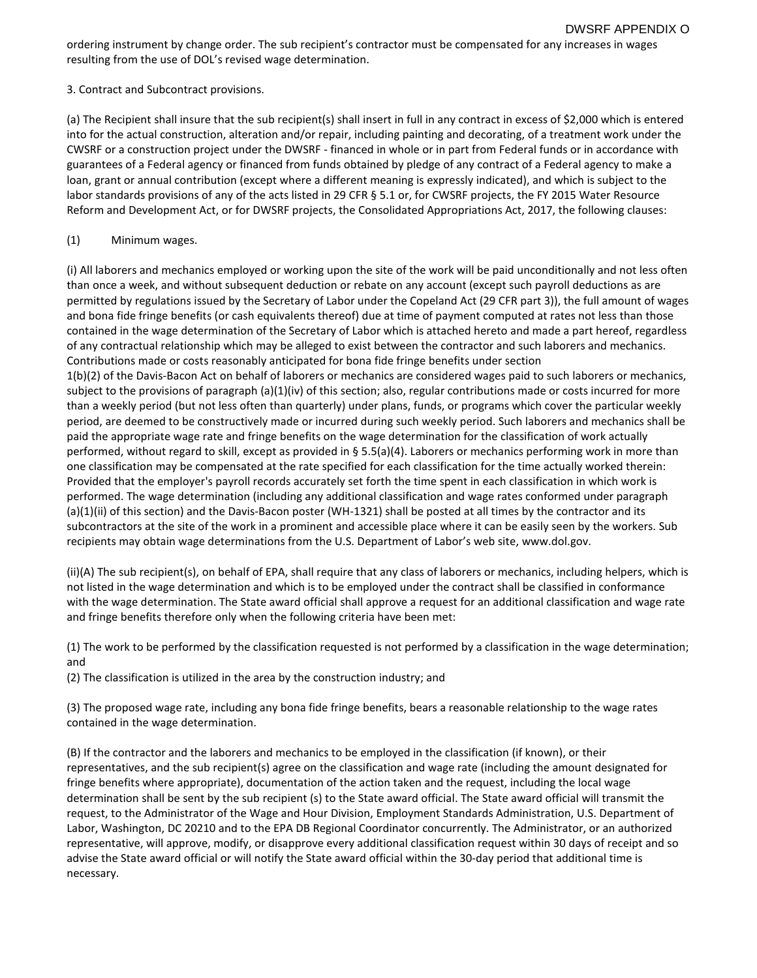3. Contract and Subcontract provisions.

(a) The Recipient shall insure that the sub recipient(s) shall insert in full in any contract in excess of \$2,000 which is entered into for the actual construction, alteration and/or repair, including painting and decorating, of a treatment work under the CWSRF or a construction project under the DWSRF - financed in whole or in part from Federal funds or in accordance with guarantees of a Federal agency or financed from funds obtained by pledge of any contract of a Federal agency to make a loan, grant or annual contribution (except where a different meaning is expressly indicated), and which is subject to the labor standards provisions of any of the acts listed in 29 CFR § 5.1 or, for CWSRF projects, the FY 2015 Water Resource Reform and Development Act, or for DWSRF projects, the Consolidated Appropriations Act, 2017, the following clauses:

## (1) Minimum wages.

(i) All laborers and mechanics employed or working upon the site of the work will be paid unconditionally and not less often than once a week, and without subsequent deduction or rebate on any account (except such payroll deductions as are permitted by regulations issued by the Secretary of Labor under the Copeland Act (29 CFR part 3)), the full amount of wages and bona fide fringe benefits (or cash equivalents thereof) due at time of payment computed at rates not less than those contained in the wage determination of the Secretary of Labor which is attached hereto and made a part hereof, regardless of any contractual relationship which may be alleged to exist between the contractor and such laborers and mechanics. Contributions made or costs reasonably anticipated for bona fide fringe benefits under section

1(b)(2) of the Davis-Bacon Act on behalf of laborers or mechanics are considered wages paid to such laborers or mechanics, subject to the provisions of paragraph (a)(1)(iv) of this section; also, regular contributions made or costs incurred for more than a weekly period (but not less often than quarterly) under plans, funds, or programs which cover the particular weekly period, are deemed to be constructively made or incurred during such weekly period. Such laborers and mechanics shall be paid the appropriate wage rate and fringe benefits on the wage determination for the classification of work actually performed, without regard to skill, except as provided in § 5.5(a)(4). Laborers or mechanics performing work in more than one classification may be compensated at the rate specified for each classification for the time actually worked therein: Provided that the employer's payroll records accurately set forth the time spent in each classification in which work is performed. The wage determination (including any additional classification and wage rates conformed under paragraph (a)(1)(ii) of this section) and the Davis-Bacon poster (WH-1321) shall be posted at all times by the contractor and its subcontractors at the site of the work in a prominent and accessible place where it can be easily seen by the workers. Sub recipients may obtain wage determinations from the U.S. Department of Labor's web site, www.dol.gov.

(ii)(A) The sub recipient(s), on behalf of EPA, shall require that any class of laborers or mechanics, including helpers, which is not listed in the wage determination and which is to be employed under the contract shall be classified in conformance with the wage determination. The State award official shall approve a request for an additional classification and wage rate and fringe benefits therefore only when the following criteria have been met:

(1) The work to be performed by the classification requested is not performed by a classification in the wage determination; and

(2) The classification is utilized in the area by the construction industry; and

(3) The proposed wage rate, including any bona fide fringe benefits, bears a reasonable relationship to the wage rates contained in the wage determination.

(B) If the contractor and the laborers and mechanics to be employed in the classification (if known), or their representatives, and the sub recipient(s) agree on the classification and wage rate (including the amount designated for fringe benefits where appropriate), documentation of the action taken and the request, including the local wage determination shall be sent by the sub recipient (s) to the State award official. The State award official will transmit the request, to the Administrator of the Wage and Hour Division, Employment Standards Administration, U.S. Department of Labor, Washington, DC 20210 and to the EPA DB Regional Coordinator concurrently. The Administrator, or an authorized representative, will approve, modify, or disapprove every additional classification request within 30 days of receipt and so advise the State award official or will notify the State award official within the 30-day period that additional time is necessary.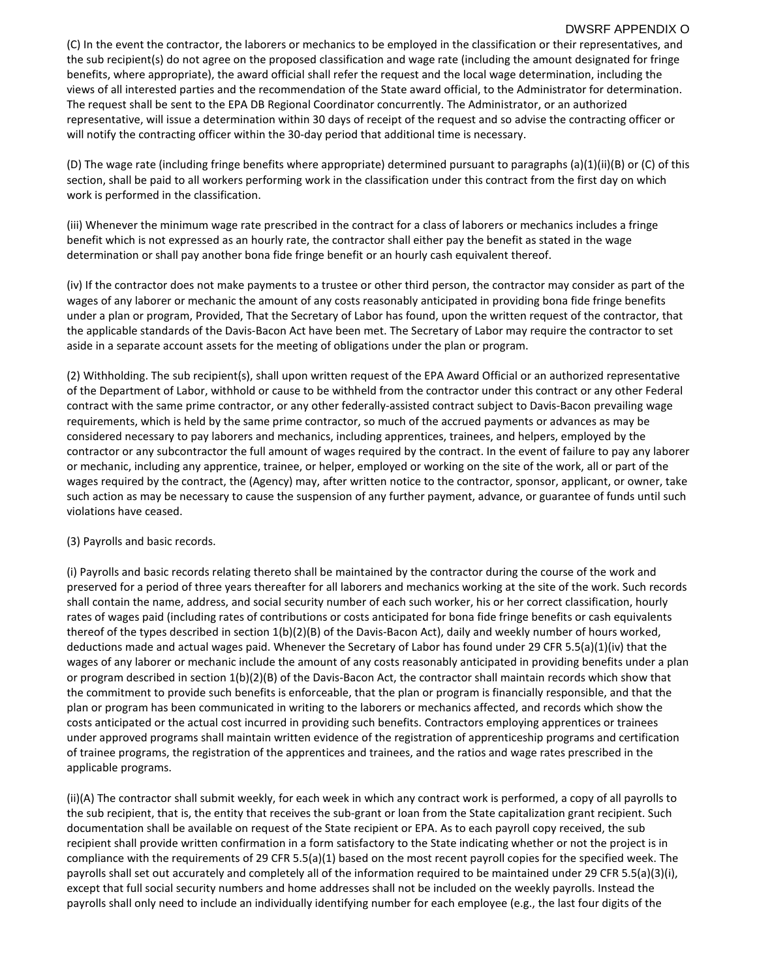(C) In the event the contractor, the laborers or mechanics to be employed in the classification or their representatives, and the sub recipient(s) do not agree on the proposed classification and wage rate (including the amount designated for fringe benefits, where appropriate), the award official shall refer the request and the local wage determination, including the views of all interested parties and the recommendation of the State award official, to the Administrator for determination. The request shall be sent to the EPA DB Regional Coordinator concurrently. The Administrator, or an authorized representative, will issue a determination within 30 days of receipt of the request and so advise the contracting officer or will notify the contracting officer within the 30-day period that additional time is necessary.

(D) The wage rate (including fringe benefits where appropriate) determined pursuant to paragraphs (a)(1)(ii)(B) or (C) of this section, shall be paid to all workers performing work in the classification under this contract from the first day on which work is performed in the classification.

(iii) Whenever the minimum wage rate prescribed in the contract for a class of laborers or mechanics includes a fringe benefit which is not expressed as an hourly rate, the contractor shall either pay the benefit as stated in the wage determination or shall pay another bona fide fringe benefit or an hourly cash equivalent thereof.

(iv) If the contractor does not make payments to a trustee or other third person, the contractor may consider as part of the wages of any laborer or mechanic the amount of any costs reasonably anticipated in providing bona fide fringe benefits under a plan or program, Provided, That the Secretary of Labor has found, upon the written request of the contractor, that the applicable standards of the Davis-Bacon Act have been met. The Secretary of Labor may require the contractor to set aside in a separate account assets for the meeting of obligations under the plan or program.

(2) Withholding. The sub recipient(s), shall upon written request of the EPA Award Official or an authorized representative of the Department of Labor, withhold or cause to be withheld from the contractor under this contract or any other Federal contract with the same prime contractor, or any other federally-assisted contract subject to Davis-Bacon prevailing wage requirements, which is held by the same prime contractor, so much of the accrued payments or advances as may be considered necessary to pay laborers and mechanics, including apprentices, trainees, and helpers, employed by the contractor or any subcontractor the full amount of wages required by the contract. In the event of failure to pay any laborer or mechanic, including any apprentice, trainee, or helper, employed or working on the site of the work, all or part of the wages required by the contract, the (Agency) may, after written notice to the contractor, sponsor, applicant, or owner, take such action as may be necessary to cause the suspension of any further payment, advance, or guarantee of funds until such violations have ceased.

#### (3) Payrolls and basic records.

(i) Payrolls and basic records relating thereto shall be maintained by the contractor during the course of the work and preserved for a period of three years thereafter for all laborers and mechanics working at the site of the work. Such records shall contain the name, address, and social security number of each such worker, his or her correct classification, hourly rates of wages paid (including rates of contributions or costs anticipated for bona fide fringe benefits or cash equivalents thereof of the types described in section 1(b)(2)(B) of the Davis-Bacon Act), daily and weekly number of hours worked, deductions made and actual wages paid. Whenever the Secretary of Labor has found under 29 CFR 5.5(a)(1)(iv) that the wages of any laborer or mechanic include the amount of any costs reasonably anticipated in providing benefits under a plan or program described in section 1(b)(2)(B) of the Davis-Bacon Act, the contractor shall maintain records which show that the commitment to provide such benefits is enforceable, that the plan or program is financially responsible, and that the plan or program has been communicated in writing to the laborers or mechanics affected, and records which show the costs anticipated or the actual cost incurred in providing such benefits. Contractors employing apprentices or trainees under approved programs shall maintain written evidence of the registration of apprenticeship programs and certification of trainee programs, the registration of the apprentices and trainees, and the ratios and wage rates prescribed in the applicable programs.

(ii)(A) The contractor shall submit weekly, for each week in which any contract work is performed, a copy of all payrolls to the sub recipient, that is, the entity that receives the sub-grant or loan from the State capitalization grant recipient. Such documentation shall be available on request of the State recipient or EPA. As to each payroll copy received, the sub recipient shall provide written confirmation in a form satisfactory to the State indicating whether or not the project is in compliance with the requirements of 29 CFR 5.5(a)(1) based on the most recent payroll copies for the specified week. The payrolls shall set out accurately and completely all of the information required to be maintained under 29 CFR 5.5(a)(3)(i), except that full social security numbers and home addresses shall not be included on the weekly payrolls. Instead the payrolls shall only need to include an individually identifying number for each employee (e.g., the last four digits of the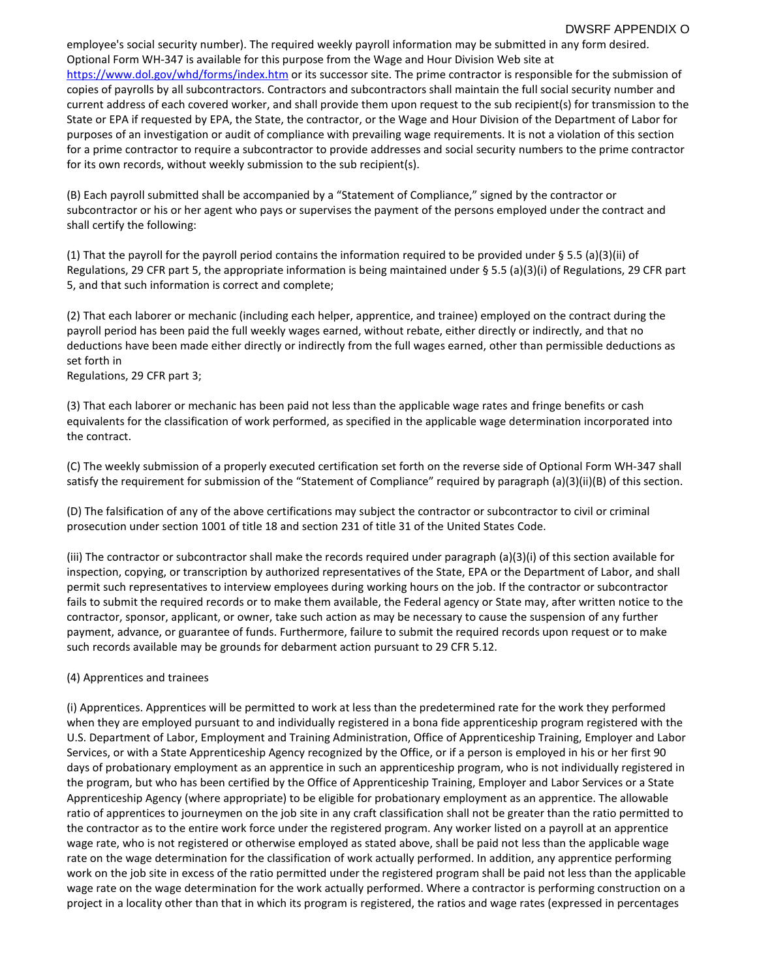employee's social security number). The required weekly payroll information may be submitted in any form desired. Optional Form WH-347 is available for this purpose from the Wage and Hour Division Web site at <https://www.dol.gov/whd/forms/index.htm> or its successor site. The prime contractor is responsible for the submission of copies of payrolls by all subcontractors. Contractors and subcontractors shall maintain the full social security number and current address of each covered worker, and shall provide them upon request to the sub recipient(s) for transmission to the State or EPA if requested by EPA, the State, the contractor, or the Wage and Hour Division of the Department of Labor for purposes of an investigation or audit of compliance with prevailing wage requirements. It is not a violation of this section for a prime contractor to require a subcontractor to provide addresses and social security numbers to the prime contractor for its own records, without weekly submission to the sub recipient(s).

(B) Each payroll submitted shall be accompanied by a "Statement of Compliance," signed by the contractor or subcontractor or his or her agent who pays or supervises the payment of the persons employed under the contract and shall certify the following:

(1) That the payroll for the payroll period contains the information required to be provided under § 5.5 (a)(3)(ii) of Regulations, 29 CFR part 5, the appropriate information is being maintained under § 5.5 (a)(3)(i) of Regulations, 29 CFR part 5, and that such information is correct and complete;

(2) That each laborer or mechanic (including each helper, apprentice, and trainee) employed on the contract during the payroll period has been paid the full weekly wages earned, without rebate, either directly or indirectly, and that no deductions have been made either directly or indirectly from the full wages earned, other than permissible deductions as set forth in

Regulations, 29 CFR part 3;

(3) That each laborer or mechanic has been paid not less than the applicable wage rates and fringe benefits or cash equivalents for the classification of work performed, as specified in the applicable wage determination incorporated into the contract.

(C) The weekly submission of a properly executed certification set forth on the reverse side of Optional Form WH-347 shall satisfy the requirement for submission of the "Statement of Compliance" required by paragraph (a)(3)(ii)(B) of this section.

(D) The falsification of any of the above certifications may subject the contractor or subcontractor to civil or criminal prosecution under section 1001 of title 18 and section 231 of title 31 of the United States Code.

(iii) The contractor or subcontractor shall make the records required under paragraph (a)(3)(i) of this section available for inspection, copying, or transcription by authorized representatives of the State, EPA or the Department of Labor, and shall permit such representatives to interview employees during working hours on the job. If the contractor or subcontractor fails to submit the required records or to make them available, the Federal agency or State may, after written notice to the contractor, sponsor, applicant, or owner, take such action as may be necessary to cause the suspension of any further payment, advance, or guarantee of funds. Furthermore, failure to submit the required records upon request or to make such records available may be grounds for debarment action pursuant to 29 CFR 5.12.

#### (4) Apprentices and trainees

(i) Apprentices. Apprentices will be permitted to work at less than the predetermined rate for the work they performed when they are employed pursuant to and individually registered in a bona fide apprenticeship program registered with the U.S. Department of Labor, Employment and Training Administration, Office of Apprenticeship Training, Employer and Labor Services, or with a State Apprenticeship Agency recognized by the Office, or if a person is employed in his or her first 90 days of probationary employment as an apprentice in such an apprenticeship program, who is not individually registered in the program, but who has been certified by the Office of Apprenticeship Training, Employer and Labor Services or a State Apprenticeship Agency (where appropriate) to be eligible for probationary employment as an apprentice. The allowable ratio of apprentices to journeymen on the job site in any craft classification shall not be greater than the ratio permitted to the contractor as to the entire work force under the registered program. Any worker listed on a payroll at an apprentice wage rate, who is not registered or otherwise employed as stated above, shall be paid not less than the applicable wage rate on the wage determination for the classification of work actually performed. In addition, any apprentice performing work on the job site in excess of the ratio permitted under the registered program shall be paid not less than the applicable wage rate on the wage determination for the work actually performed. Where a contractor is performing construction on a project in a locality other than that in which its program is registered, the ratios and wage rates (expressed in percentages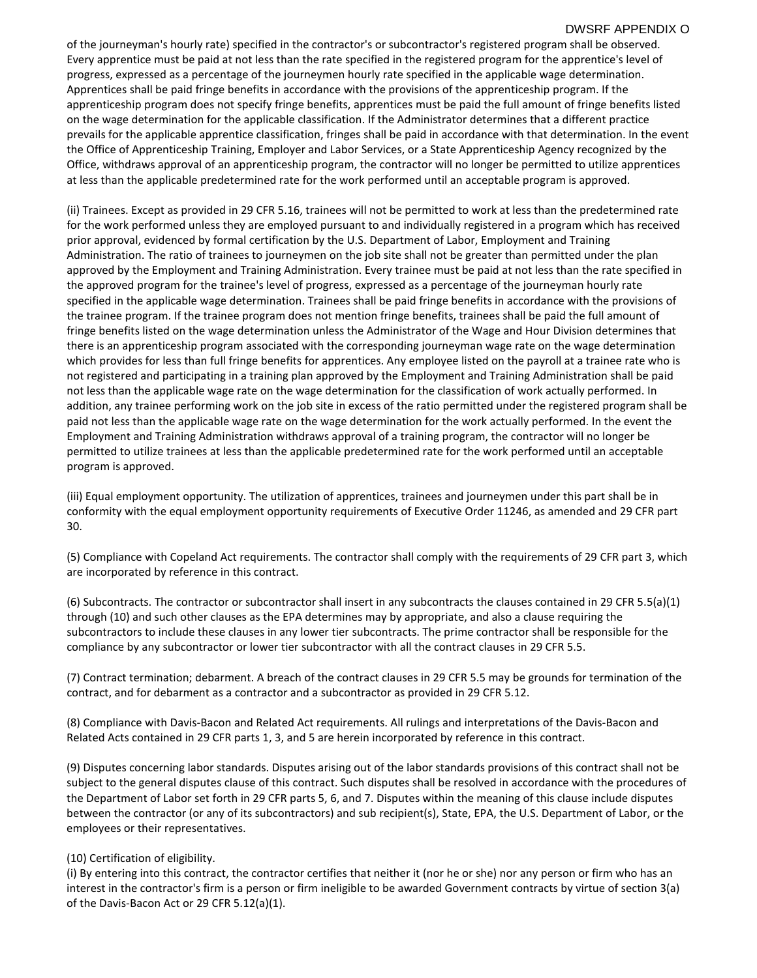of the journeyman's hourly rate) specified in the contractor's or subcontractor's registered program shall be observed. Every apprentice must be paid at not less than the rate specified in the registered program for the apprentice's level of progress, expressed as a percentage of the journeymen hourly rate specified in the applicable wage determination. Apprentices shall be paid fringe benefits in accordance with the provisions of the apprenticeship program. If the apprenticeship program does not specify fringe benefits, apprentices must be paid the full amount of fringe benefits listed on the wage determination for the applicable classification. If the Administrator determines that a different practice prevails for the applicable apprentice classification, fringes shall be paid in accordance with that determination. In the event the Office of Apprenticeship Training, Employer and Labor Services, or a State Apprenticeship Agency recognized by the Office, withdraws approval of an apprenticeship program, the contractor will no longer be permitted to utilize apprentices at less than the applicable predetermined rate for the work performed until an acceptable program is approved.

(ii) Trainees. Except as provided in 29 CFR 5.16, trainees will not be permitted to work at less than the predetermined rate for the work performed unless they are employed pursuant to and individually registered in a program which has received prior approval, evidenced by formal certification by the U.S. Department of Labor, Employment and Training Administration. The ratio of trainees to journeymen on the job site shall not be greater than permitted under the plan approved by the Employment and Training Administration. Every trainee must be paid at not less than the rate specified in the approved program for the trainee's level of progress, expressed as a percentage of the journeyman hourly rate specified in the applicable wage determination. Trainees shall be paid fringe benefits in accordance with the provisions of the trainee program. If the trainee program does not mention fringe benefits, trainees shall be paid the full amount of fringe benefits listed on the wage determination unless the Administrator of the Wage and Hour Division determines that there is an apprenticeship program associated with the corresponding journeyman wage rate on the wage determination which provides for less than full fringe benefits for apprentices. Any employee listed on the payroll at a trainee rate who is not registered and participating in a training plan approved by the Employment and Training Administration shall be paid not less than the applicable wage rate on the wage determination for the classification of work actually performed. In addition, any trainee performing work on the job site in excess of the ratio permitted under the registered program shall be paid not less than the applicable wage rate on the wage determination for the work actually performed. In the event the Employment and Training Administration withdraws approval of a training program, the contractor will no longer be permitted to utilize trainees at less than the applicable predetermined rate for the work performed until an acceptable program is approved.

(iii) Equal employment opportunity. The utilization of apprentices, trainees and journeymen under this part shall be in conformity with the equal employment opportunity requirements of Executive Order 11246, as amended and 29 CFR part 30.

(5) Compliance with Copeland Act requirements. The contractor shall comply with the requirements of 29 CFR part 3, which are incorporated by reference in this contract.

(6) Subcontracts. The contractor or subcontractor shall insert in any subcontracts the clauses contained in 29 CFR 5.5(a)(1) through (10) and such other clauses as the EPA determines may by appropriate, and also a clause requiring the subcontractors to include these clauses in any lower tier subcontracts. The prime contractor shall be responsible for the compliance by any subcontractor or lower tier subcontractor with all the contract clauses in 29 CFR 5.5.

(7) Contract termination; debarment. A breach of the contract clauses in 29 CFR 5.5 may be grounds for termination of the contract, and for debarment as a contractor and a subcontractor as provided in 29 CFR 5.12.

(8) Compliance with Davis-Bacon and Related Act requirements. All rulings and interpretations of the Davis-Bacon and Related Acts contained in 29 CFR parts 1, 3, and 5 are herein incorporated by reference in this contract.

(9) Disputes concerning labor standards. Disputes arising out of the labor standards provisions of this contract shall not be subject to the general disputes clause of this contract. Such disputes shall be resolved in accordance with the procedures of the Department of Labor set forth in 29 CFR parts 5, 6, and 7. Disputes within the meaning of this clause include disputes between the contractor (or any of its subcontractors) and sub recipient(s), State, EPA, the U.S. Department of Labor, or the employees or their representatives.

## (10) Certification of eligibility.

(i) By entering into this contract, the contractor certifies that neither it (nor he or she) nor any person or firm who has an interest in the contractor's firm is a person or firm ineligible to be awarded Government contracts by virtue of section 3(a) of the Davis-Bacon Act or 29 CFR 5.12(a)(1).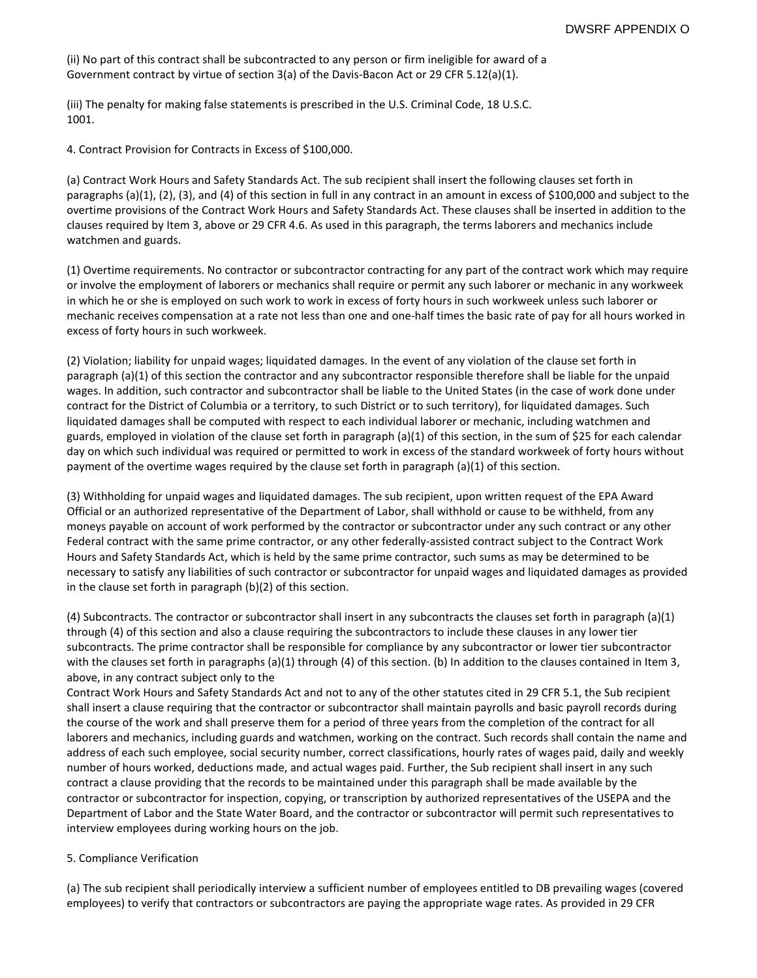(ii) No part of this contract shall be subcontracted to any person or firm ineligible for award of a Government contract by virtue of section 3(a) of the Davis-Bacon Act or 29 CFR 5.12(a)(1).

(iii) The penalty for making false statements is prescribed in the U.S. Criminal Code, 18 U.S.C. 1001.

4. Contract Provision for Contracts in Excess of \$100,000.

(a) Contract Work Hours and Safety Standards Act. The sub recipient shall insert the following clauses set forth in paragraphs (a)(1), (2), (3), and (4) of this section in full in any contract in an amount in excess of \$100,000 and subject to the overtime provisions of the Contract Work Hours and Safety Standards Act. These clauses shall be inserted in addition to the clauses required by Item 3, above or 29 CFR 4.6. As used in this paragraph, the terms laborers and mechanics include watchmen and guards.

(1) Overtime requirements. No contractor or subcontractor contracting for any part of the contract work which may require or involve the employment of laborers or mechanics shall require or permit any such laborer or mechanic in any workweek in which he or she is employed on such work to work in excess of forty hours in such workweek unless such laborer or mechanic receives compensation at a rate not less than one and one-half times the basic rate of pay for all hours worked in excess of forty hours in such workweek.

(2) Violation; liability for unpaid wages; liquidated damages. In the event of any violation of the clause set forth in paragraph (a)(1) of this section the contractor and any subcontractor responsible therefore shall be liable for the unpaid wages. In addition, such contractor and subcontractor shall be liable to the United States (in the case of work done under contract for the District of Columbia or a territory, to such District or to such territory), for liquidated damages. Such liquidated damages shall be computed with respect to each individual laborer or mechanic, including watchmen and guards, employed in violation of the clause set forth in paragraph (a)(1) of this section, in the sum of \$25 for each calendar day on which such individual was required or permitted to work in excess of the standard workweek of forty hours without payment of the overtime wages required by the clause set forth in paragraph (a)(1) of this section.

(3) Withholding for unpaid wages and liquidated damages. The sub recipient, upon written request of the EPA Award Official or an authorized representative of the Department of Labor, shall withhold or cause to be withheld, from any moneys payable on account of work performed by the contractor or subcontractor under any such contract or any other Federal contract with the same prime contractor, or any other federally-assisted contract subject to the Contract Work Hours and Safety Standards Act, which is held by the same prime contractor, such sums as may be determined to be necessary to satisfy any liabilities of such contractor or subcontractor for unpaid wages and liquidated damages as provided in the clause set forth in paragraph (b)(2) of this section.

(4) Subcontracts. The contractor or subcontractor shall insert in any subcontracts the clauses set forth in paragraph (a)(1) through (4) of this section and also a clause requiring the subcontractors to include these clauses in any lower tier subcontracts. The prime contractor shall be responsible for compliance by any subcontractor or lower tier subcontractor with the clauses set forth in paragraphs (a)(1) through (4) of this section. (b) In addition to the clauses contained in Item 3, above, in any contract subject only to the

Contract Work Hours and Safety Standards Act and not to any of the other statutes cited in 29 CFR 5.1, the Sub recipient shall insert a clause requiring that the contractor or subcontractor shall maintain payrolls and basic payroll records during the course of the work and shall preserve them for a period of three years from the completion of the contract for all laborers and mechanics, including guards and watchmen, working on the contract. Such records shall contain the name and address of each such employee, social security number, correct classifications, hourly rates of wages paid, daily and weekly number of hours worked, deductions made, and actual wages paid. Further, the Sub recipient shall insert in any such contract a clause providing that the records to be maintained under this paragraph shall be made available by the contractor or subcontractor for inspection, copying, or transcription by authorized representatives of the USEPA and the Department of Labor and the State Water Board, and the contractor or subcontractor will permit such representatives to interview employees during working hours on the job.

## 5. Compliance Verification

(a) The sub recipient shall periodically interview a sufficient number of employees entitled to DB prevailing wages (covered employees) to verify that contractors or subcontractors are paying the appropriate wage rates. As provided in 29 CFR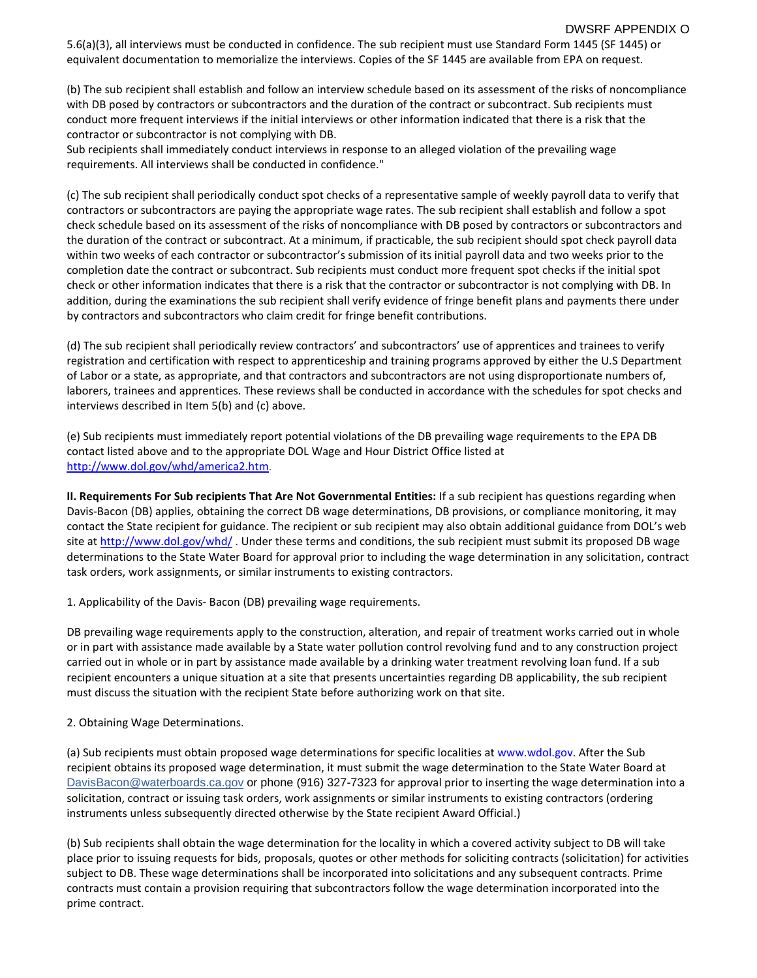5.6(a)(3), all interviews must be conducted in confidence. The sub recipient must use Standard Form 1445 (SF 1445) or equivalent documentation to memorialize the interviews. Copies of the SF 1445 are available from EPA on request.

(b) The sub recipient shall establish and follow an interview schedule based on its assessment of the risks of noncompliance with DB posed by contractors or subcontractors and the duration of the contract or subcontract. Sub recipients must conduct more frequent interviews if the initial interviews or other information indicated that there is a risk that the contractor or subcontractor is not complying with DB.

Sub recipients shall immediately conduct interviews in response to an alleged violation of the prevailing wage requirements. All interviews shall be conducted in confidence."

(c) The sub recipient shall periodically conduct spot checks of a representative sample of weekly payroll data to verify that contractors or subcontractors are paying the appropriate wage rates. The sub recipient shall establish and follow a spot check schedule based on its assessment of the risks of noncompliance with DB posed by contractors or subcontractors and the duration of the contract or subcontract. At a minimum, if practicable, the sub recipient should spot check payroll data within two weeks of each contractor or subcontractor's submission of its initial payroll data and two weeks prior to the completion date the contract or subcontract. Sub recipients must conduct more frequent spot checks if the initial spot check or other information indicates that there is a risk that the contractor or subcontractor is not complying with DB. In addition, during the examinations the sub recipient shall verify evidence of fringe benefit plans and payments there under by contractors and subcontractors who claim credit for fringe benefit contributions.

(d) The sub recipient shall periodically review contractors' and subcontractors' use of apprentices and trainees to verify registration and certification with respect to apprenticeship and training programs approved by either the U.S Department of Labor or a state, as appropriate, and that contractors and subcontractors are not using disproportionate numbers of, laborers, trainees and apprentices. These reviews shall be conducted in accordance with the schedules for spot checks and interviews described in Item 5(b) and (c) above.

(e) Sub recipients must immediately report potential violations of the DB prevailing wage requirements to the EPA DB contact listed above and to the appropriate DOL Wage and Hour District Office listed at [http://www.dol.gov/whd/america2.htm.](http://www.dol.gov/whd/america2.htm)

**II. Requirements For Sub recipients That Are Not Governmental Entities:** If a sub recipient has questions regarding when Davis-Bacon (DB) applies, obtaining the correct DB wage determinations, DB provisions, or compliance monitoring, it may contact the State recipient for guidance. The recipient or sub recipient may also obtain additional guidance from DOL's web site at<http://www.dol.gov/whd/>. Under these terms and conditions, the sub recipient must submit its proposed DB wage determinations to the State Water Board for approval prior to including the wage determination in any solicitation, contract task orders, work assignments, or similar instruments to existing contractors.

1. Applicability of the Davis- Bacon (DB) prevailing wage requirements.

DB prevailing wage requirements apply to the construction, alteration, and repair of treatment works carried out in whole or in part with assistance made available by a State water pollution control revolving fund and to any construction project carried out in whole or in part by assistance made available by a drinking water treatment revolving loan fund. If a sub recipient encounters a unique situation at a site that presents uncertainties regarding DB applicability, the sub recipient must discuss the situation with the recipient State before authorizing work on that site.

2. Obtaining Wage Determinations.

(a) Sub recipients must obtain proposed wage determinations for specific localities at www.wdol.gov. After the Sub recipient obtains its proposed wage determination, it must submit the wage determination to the State Water Board at [DavisBacon@waterboards.ca.gov](mailto:DavisBacon@waterboards.ca.gov) or phone (916) 327-7323 for approval prior to inserting the wage determination into a solicitation, contract or issuing task orders, work assignments or similar instruments to existing contractors (ordering instruments unless subsequently directed otherwise by the State recipient Award Official.)

(b) Sub recipients shall obtain the wage determination for the locality in which a covered activity subject to DB will take place prior to issuing requests for bids, proposals, quotes or other methods for soliciting contracts (solicitation) for activities subject to DB. These wage determinations shall be incorporated into solicitations and any subsequent contracts. Prime contracts must contain a provision requiring that subcontractors follow the wage determination incorporated into the prime contract.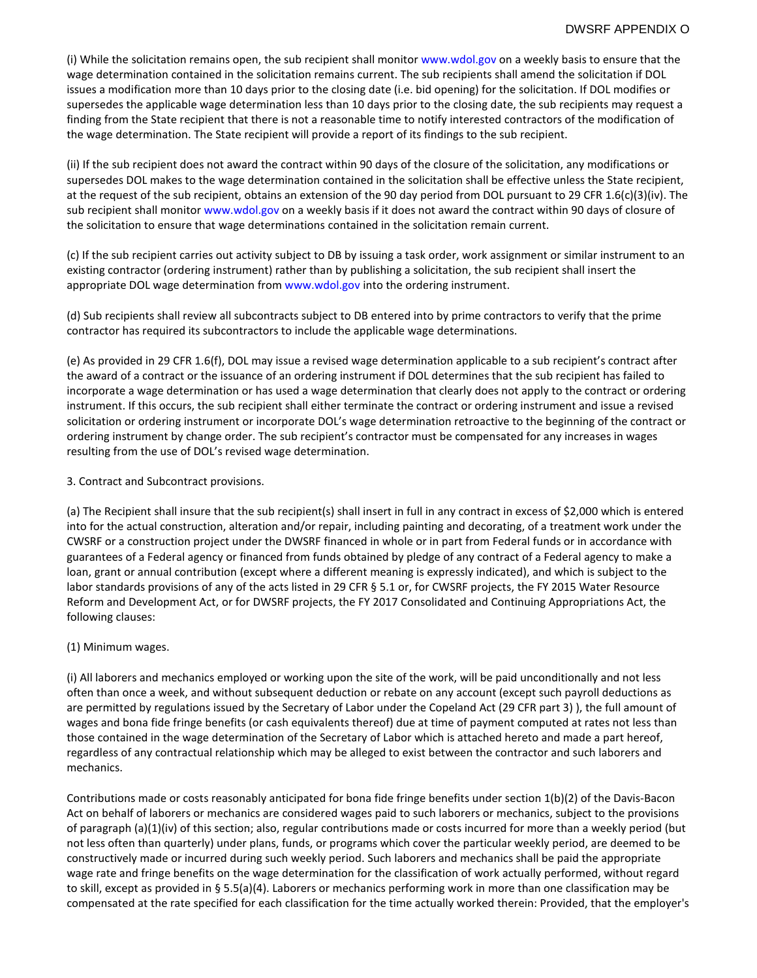(i) While the solicitation remains open, the sub recipient shall monitor www.wdol.gov on a weekly basis to ensure that the wage determination contained in the solicitation remains current. The sub recipients shall amend the solicitation if DOL issues a modification more than 10 days prior to the closing date (i.e. bid opening) for the solicitation. If DOL modifies or supersedes the applicable wage determination less than 10 days prior to the closing date, the sub recipients may request a finding from the State recipient that there is not a reasonable time to notify interested contractors of the modification of the wage determination. The State recipient will provide a report of its findings to the sub recipient.

(ii) If the sub recipient does not award the contract within 90 days of the closure of the solicitation, any modifications or supersedes DOL makes to the wage determination contained in the solicitation shall be effective unless the State recipient, at the request of the sub recipient, obtains an extension of the 90 day period from DOL pursuant to 29 CFR 1.6(c)(3)(iv). The sub recipient shall monitor www.wdol.gov on a weekly basis if it does not award the contract within 90 days of closure of the solicitation to ensure that wage determinations contained in the solicitation remain current.

(c) If the sub recipient carries out activity subject to DB by issuing a task order, work assignment or similar instrument to an existing contractor (ordering instrument) rather than by publishing a solicitation, the sub recipient shall insert the appropriate DOL wage determination from www.wdol.gov into the ordering instrument.

(d) Sub recipients shall review all subcontracts subject to DB entered into by prime contractors to verify that the prime contractor has required its subcontractors to include the applicable wage determinations.

(e) As provided in 29 CFR 1.6(f), DOL may issue a revised wage determination applicable to a sub recipient's contract after the award of a contract or the issuance of an ordering instrument if DOL determines that the sub recipient has failed to incorporate a wage determination or has used a wage determination that clearly does not apply to the contract or ordering instrument. If this occurs, the sub recipient shall either terminate the contract or ordering instrument and issue a revised solicitation or ordering instrument or incorporate DOL's wage determination retroactive to the beginning of the contract or ordering instrument by change order. The sub recipient's contractor must be compensated for any increases in wages resulting from the use of DOL's revised wage determination.

#### 3. Contract and Subcontract provisions.

(a) The Recipient shall insure that the sub recipient(s) shall insert in full in any contract in excess of \$2,000 which is entered into for the actual construction, alteration and/or repair, including painting and decorating, of a treatment work under the CWSRF or a construction project under the DWSRF financed in whole or in part from Federal funds or in accordance with guarantees of a Federal agency or financed from funds obtained by pledge of any contract of a Federal agency to make a loan, grant or annual contribution (except where a different meaning is expressly indicated), and which is subject to the labor standards provisions of any of the acts listed in 29 CFR § 5.1 or, for CWSRF projects, the FY 2015 Water Resource Reform and Development Act, or for DWSRF projects, the FY 2017 Consolidated and Continuing Appropriations Act, the following clauses:

#### (1) Minimum wages.

(i) All laborers and mechanics employed or working upon the site of the work, will be paid unconditionally and not less often than once a week, and without subsequent deduction or rebate on any account (except such payroll deductions as are permitted by regulations issued by the Secretary of Labor under the Copeland Act (29 CFR part 3) ), the full amount of wages and bona fide fringe benefits (or cash equivalents thereof) due at time of payment computed at rates not less than those contained in the wage determination of the Secretary of Labor which is attached hereto and made a part hereof, regardless of any contractual relationship which may be alleged to exist between the contractor and such laborers and mechanics.

Contributions made or costs reasonably anticipated for bona fide fringe benefits under section 1(b)(2) of the Davis-Bacon Act on behalf of laborers or mechanics are considered wages paid to such laborers or mechanics, subject to the provisions of paragraph (a)(1)(iv) of this section; also, regular contributions made or costs incurred for more than a weekly period (but not less often than quarterly) under plans, funds, or programs which cover the particular weekly period, are deemed to be constructively made or incurred during such weekly period. Such laborers and mechanics shall be paid the appropriate wage rate and fringe benefits on the wage determination for the classification of work actually performed, without regard to skill, except as provided in § 5.5(a)(4). Laborers or mechanics performing work in more than one classification may be compensated at the rate specified for each classification for the time actually worked therein: Provided, that the employer's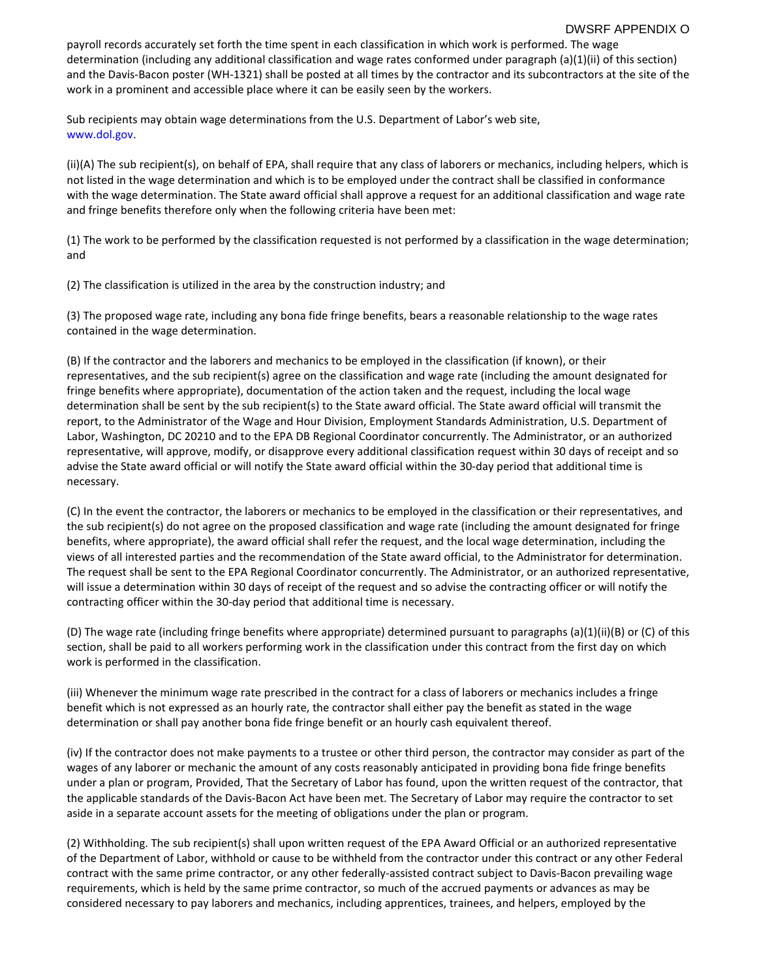payroll records accurately set forth the time spent in each classification in which work is performed. The wage determination (including any additional classification and wage rates conformed under paragraph (a)(1)(ii) of this section) and the Davis-Bacon poster (WH-1321) shall be posted at all times by the contractor and its subcontractors at the site of the work in a prominent and accessible place where it can be easily seen by the workers.

Sub recipients may obtain wage determinations from the U.S. Department of Labor's web site, www.dol.gov.

(ii)(A) The sub recipient(s), on behalf of EPA, shall require that any class of laborers or mechanics, including helpers, which is not listed in the wage determination and which is to be employed under the contract shall be classified in conformance with the wage determination. The State award official shall approve a request for an additional classification and wage rate and fringe benefits therefore only when the following criteria have been met:

(1) The work to be performed by the classification requested is not performed by a classification in the wage determination; and

(2) The classification is utilized in the area by the construction industry; and

(3) The proposed wage rate, including any bona fide fringe benefits, bears a reasonable relationship to the wage rates contained in the wage determination.

(B) If the contractor and the laborers and mechanics to be employed in the classification (if known), or their representatives, and the sub recipient(s) agree on the classification and wage rate (including the amount designated for fringe benefits where appropriate), documentation of the action taken and the request, including the local wage determination shall be sent by the sub recipient(s) to the State award official. The State award official will transmit the report, to the Administrator of the Wage and Hour Division, Employment Standards Administration, U.S. Department of Labor, Washington, DC 20210 and to the EPA DB Regional Coordinator concurrently. The Administrator, or an authorized representative, will approve, modify, or disapprove every additional classification request within 30 days of receipt and so advise the State award official or will notify the State award official within the 30-day period that additional time is necessary.

(C) In the event the contractor, the laborers or mechanics to be employed in the classification or their representatives, and the sub recipient(s) do not agree on the proposed classification and wage rate (including the amount designated for fringe benefits, where appropriate), the award official shall refer the request, and the local wage determination, including the views of all interested parties and the recommendation of the State award official, to the Administrator for determination. The request shall be sent to the EPA Regional Coordinator concurrently. The Administrator, or an authorized representative, will issue a determination within 30 days of receipt of the request and so advise the contracting officer or will notify the contracting officer within the 30-day period that additional time is necessary.

(D) The wage rate (including fringe benefits where appropriate) determined pursuant to paragraphs (a)(1)(ii)(B) or (C) of this section, shall be paid to all workers performing work in the classification under this contract from the first day on which work is performed in the classification.

(iii) Whenever the minimum wage rate prescribed in the contract for a class of laborers or mechanics includes a fringe benefit which is not expressed as an hourly rate, the contractor shall either pay the benefit as stated in the wage determination or shall pay another bona fide fringe benefit or an hourly cash equivalent thereof.

(iv) If the contractor does not make payments to a trustee or other third person, the contractor may consider as part of the wages of any laborer or mechanic the amount of any costs reasonably anticipated in providing bona fide fringe benefits under a plan or program, Provided, That the Secretary of Labor has found, upon the written request of the contractor, that the applicable standards of the Davis-Bacon Act have been met. The Secretary of Labor may require the contractor to set aside in a separate account assets for the meeting of obligations under the plan or program.

(2) Withholding. The sub recipient(s) shall upon written request of the EPA Award Official or an authorized representative of the Department of Labor, withhold or cause to be withheld from the contractor under this contract or any other Federal contract with the same prime contractor, or any other federally-assisted contract subject to Davis-Bacon prevailing wage requirements, which is held by the same prime contractor, so much of the accrued payments or advances as may be considered necessary to pay laborers and mechanics, including apprentices, trainees, and helpers, employed by the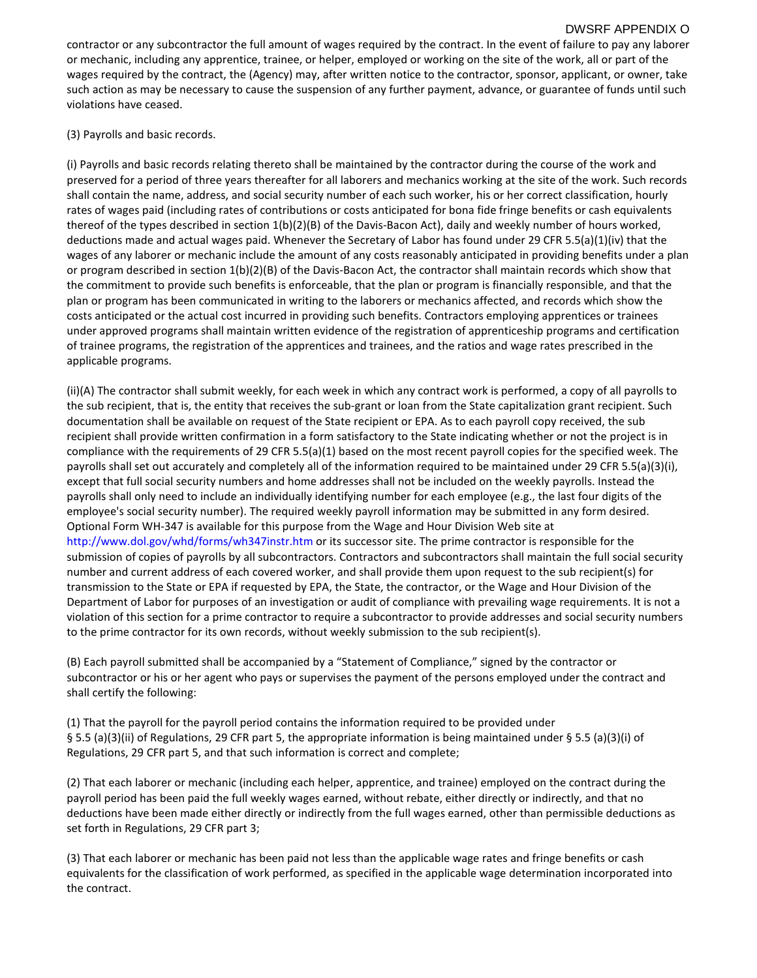contractor or any subcontractor the full amount of wages required by the contract. In the event of failure to pay any laborer or mechanic, including any apprentice, trainee, or helper, employed or working on the site of the work, all or part of the wages required by the contract, the (Agency) may, after written notice to the contractor, sponsor, applicant, or owner, take such action as may be necessary to cause the suspension of any further payment, advance, or guarantee of funds until such violations have ceased.

#### (3) Payrolls and basic records.

(i) Payrolls and basic records relating thereto shall be maintained by the contractor during the course of the work and preserved for a period of three years thereafter for all laborers and mechanics working at the site of the work. Such records shall contain the name, address, and social security number of each such worker, his or her correct classification, hourly rates of wages paid (including rates of contributions or costs anticipated for bona fide fringe benefits or cash equivalents thereof of the types described in section 1(b)(2)(B) of the Davis-Bacon Act), daily and weekly number of hours worked, deductions made and actual wages paid. Whenever the Secretary of Labor has found under 29 CFR 5.5(a)(1)(iv) that the wages of any laborer or mechanic include the amount of any costs reasonably anticipated in providing benefits under a plan or program described in section 1(b)(2)(B) of the Davis-Bacon Act, the contractor shall maintain records which show that the commitment to provide such benefits is enforceable, that the plan or program is financially responsible, and that the plan or program has been communicated in writing to the laborers or mechanics affected, and records which show the costs anticipated or the actual cost incurred in providing such benefits. Contractors employing apprentices or trainees under approved programs shall maintain written evidence of the registration of apprenticeship programs and certification of trainee programs, the registration of the apprentices and trainees, and the ratios and wage rates prescribed in the applicable programs.

(ii)(A) The contractor shall submit weekly, for each week in which any contract work is performed, a copy of all payrolls to the sub recipient, that is, the entity that receives the sub-grant or loan from the State capitalization grant recipient. Such documentation shall be available on request of the State recipient or EPA. As to each payroll copy received, the sub recipient shall provide written confirmation in a form satisfactory to the State indicating whether or not the project is in compliance with the requirements of 29 CFR 5.5(a)(1) based on the most recent payroll copies for the specified week. The payrolls shall set out accurately and completely all of the information required to be maintained under 29 CFR 5.5(a)(3)(i), except that full social security numbers and home addresses shall not be included on the weekly payrolls. Instead the payrolls shall only need to include an individually identifying number for each employee (e.g., the last four digits of the employee's social security number). The required weekly payroll information may be submitted in any form desired. Optional Form WH-347 is available for this purpose from the Wage and Hour Division Web site at http://www.dol.gov/whd/forms/wh347instr.htm or its successor site. The prime contractor is responsible for the submission of copies of payrolls by all subcontractors. Contractors and subcontractors shall maintain the full social security number and current address of each covered worker, and shall provide them upon request to the sub recipient(s) for transmission to the State or EPA if requested by EPA, the State, the contractor, or the Wage and Hour Division of the Department of Labor for purposes of an investigation or audit of compliance with prevailing wage requirements. It is not a violation of this section for a prime contractor to require a subcontractor to provide addresses and social security numbers to the prime contractor for its own records, without weekly submission to the sub recipient(s).

(B) Each payroll submitted shall be accompanied by a "Statement of Compliance," signed by the contractor or subcontractor or his or her agent who pays or supervises the payment of the persons employed under the contract and shall certify the following:

(1) That the payroll for the payroll period contains the information required to be provided under § 5.5 (a)(3)(ii) of Regulations, 29 CFR part 5, the appropriate information is being maintained under § 5.5 (a)(3)(i) of Regulations, 29 CFR part 5, and that such information is correct and complete;

(2) That each laborer or mechanic (including each helper, apprentice, and trainee) employed on the contract during the payroll period has been paid the full weekly wages earned, without rebate, either directly or indirectly, and that no deductions have been made either directly or indirectly from the full wages earned, other than permissible deductions as set forth in Regulations, 29 CFR part 3;

(3) That each laborer or mechanic has been paid not less than the applicable wage rates and fringe benefits or cash equivalents for the classification of work performed, as specified in the applicable wage determination incorporated into the contract.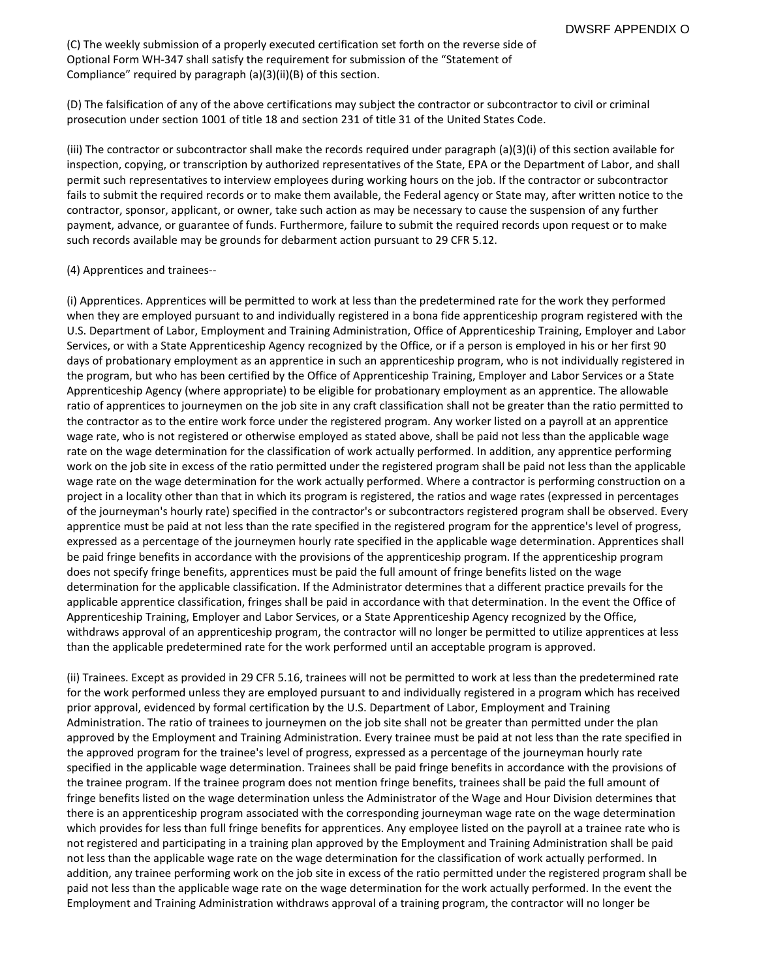(C) The weekly submission of a properly executed certification set forth on the reverse side of Optional Form WH-347 shall satisfy the requirement for submission of the "Statement of Compliance" required by paragraph (a)(3)(ii)(B) of this section.

(D) The falsification of any of the above certifications may subject the contractor or subcontractor to civil or criminal prosecution under section 1001 of title 18 and section 231 of title 31 of the United States Code.

(iii) The contractor or subcontractor shall make the records required under paragraph (a)(3)(i) of this section available for inspection, copying, or transcription by authorized representatives of the State, EPA or the Department of Labor, and shall permit such representatives to interview employees during working hours on the job. If the contractor or subcontractor fails to submit the required records or to make them available, the Federal agency or State may, after written notice to the contractor, sponsor, applicant, or owner, take such action as may be necessary to cause the suspension of any further payment, advance, or guarantee of funds. Furthermore, failure to submit the required records upon request or to make such records available may be grounds for debarment action pursuant to 29 CFR 5.12.

#### (4) Apprentices and trainees--

(i) Apprentices. Apprentices will be permitted to work at less than the predetermined rate for the work they performed when they are employed pursuant to and individually registered in a bona fide apprenticeship program registered with the U.S. Department of Labor, Employment and Training Administration, Office of Apprenticeship Training, Employer and Labor Services, or with a State Apprenticeship Agency recognized by the Office, or if a person is employed in his or her first 90 days of probationary employment as an apprentice in such an apprenticeship program, who is not individually registered in the program, but who has been certified by the Office of Apprenticeship Training, Employer and Labor Services or a State Apprenticeship Agency (where appropriate) to be eligible for probationary employment as an apprentice. The allowable ratio of apprentices to journeymen on the job site in any craft classification shall not be greater than the ratio permitted to the contractor as to the entire work force under the registered program. Any worker listed on a payroll at an apprentice wage rate, who is not registered or otherwise employed as stated above, shall be paid not less than the applicable wage rate on the wage determination for the classification of work actually performed. In addition, any apprentice performing work on the job site in excess of the ratio permitted under the registered program shall be paid not less than the applicable wage rate on the wage determination for the work actually performed. Where a contractor is performing construction on a project in a locality other than that in which its program is registered, the ratios and wage rates (expressed in percentages of the journeyman's hourly rate) specified in the contractor's or subcontractors registered program shall be observed. Every apprentice must be paid at not less than the rate specified in the registered program for the apprentice's level of progress, expressed as a percentage of the journeymen hourly rate specified in the applicable wage determination. Apprentices shall be paid fringe benefits in accordance with the provisions of the apprenticeship program. If the apprenticeship program does not specify fringe benefits, apprentices must be paid the full amount of fringe benefits listed on the wage determination for the applicable classification. If the Administrator determines that a different practice prevails for the applicable apprentice classification, fringes shall be paid in accordance with that determination. In the event the Office of Apprenticeship Training, Employer and Labor Services, or a State Apprenticeship Agency recognized by the Office, withdraws approval of an apprenticeship program, the contractor will no longer be permitted to utilize apprentices at less than the applicable predetermined rate for the work performed until an acceptable program is approved.

(ii) Trainees. Except as provided in 29 CFR 5.16, trainees will not be permitted to work at less than the predetermined rate for the work performed unless they are employed pursuant to and individually registered in a program which has received prior approval, evidenced by formal certification by the U.S. Department of Labor, Employment and Training Administration. The ratio of trainees to journeymen on the job site shall not be greater than permitted under the plan approved by the Employment and Training Administration. Every trainee must be paid at not less than the rate specified in the approved program for the trainee's level of progress, expressed as a percentage of the journeyman hourly rate specified in the applicable wage determination. Trainees shall be paid fringe benefits in accordance with the provisions of the trainee program. If the trainee program does not mention fringe benefits, trainees shall be paid the full amount of fringe benefits listed on the wage determination unless the Administrator of the Wage and Hour Division determines that there is an apprenticeship program associated with the corresponding journeyman wage rate on the wage determination which provides for less than full fringe benefits for apprentices. Any employee listed on the payroll at a trainee rate who is not registered and participating in a training plan approved by the Employment and Training Administration shall be paid not less than the applicable wage rate on the wage determination for the classification of work actually performed. In addition, any trainee performing work on the job site in excess of the ratio permitted under the registered program shall be paid not less than the applicable wage rate on the wage determination for the work actually performed. In the event the Employment and Training Administration withdraws approval of a training program, the contractor will no longer be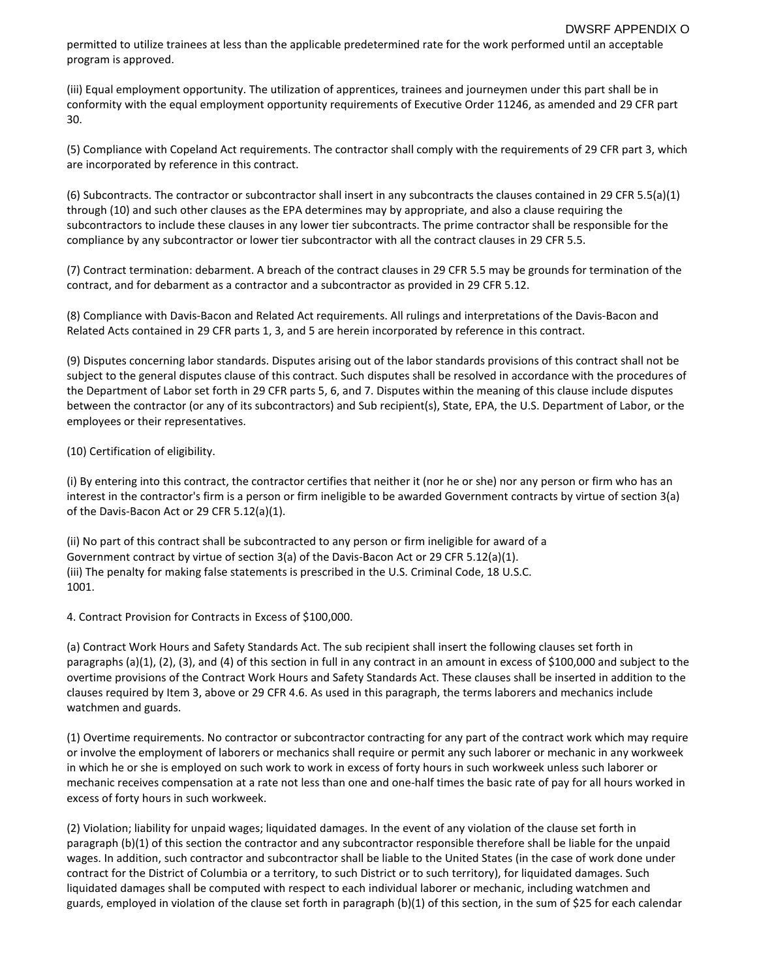permitted to utilize trainees at less than the applicable predetermined rate for the work performed until an acceptable program is approved.

(iii) Equal employment opportunity. The utilization of apprentices, trainees and journeymen under this part shall be in conformity with the equal employment opportunity requirements of Executive Order 11246, as amended and 29 CFR part 30.

(5) Compliance with Copeland Act requirements. The contractor shall comply with the requirements of 29 CFR part 3, which are incorporated by reference in this contract.

(6) Subcontracts. The contractor or subcontractor shall insert in any subcontracts the clauses contained in 29 CFR 5.5(a)(1) through (10) and such other clauses as the EPA determines may by appropriate, and also a clause requiring the subcontractors to include these clauses in any lower tier subcontracts. The prime contractor shall be responsible for the compliance by any subcontractor or lower tier subcontractor with all the contract clauses in 29 CFR 5.5.

(7) Contract termination: debarment. A breach of the contract clauses in 29 CFR 5.5 may be grounds for termination of the contract, and for debarment as a contractor and a subcontractor as provided in 29 CFR 5.12.

(8) Compliance with Davis-Bacon and Related Act requirements. All rulings and interpretations of the Davis-Bacon and Related Acts contained in 29 CFR parts 1, 3, and 5 are herein incorporated by reference in this contract.

(9) Disputes concerning labor standards. Disputes arising out of the labor standards provisions of this contract shall not be subject to the general disputes clause of this contract. Such disputes shall be resolved in accordance with the procedures of the Department of Labor set forth in 29 CFR parts 5, 6, and 7. Disputes within the meaning of this clause include disputes between the contractor (or any of its subcontractors) and Sub recipient(s), State, EPA, the U.S. Department of Labor, or the employees or their representatives.

(10) Certification of eligibility.

(i) By entering into this contract, the contractor certifies that neither it (nor he or she) nor any person or firm who has an interest in the contractor's firm is a person or firm ineligible to be awarded Government contracts by virtue of section 3(a) of the Davis-Bacon Act or 29 CFR 5.12(a)(1).

(ii) No part of this contract shall be subcontracted to any person or firm ineligible for award of a Government contract by virtue of section 3(a) of the Davis-Bacon Act or 29 CFR 5.12(a)(1). (iii) The penalty for making false statements is prescribed in the U.S. Criminal Code, 18 U.S.C. 1001.

4. Contract Provision for Contracts in Excess of \$100,000.

(a) Contract Work Hours and Safety Standards Act. The sub recipient shall insert the following clauses set forth in paragraphs (a)(1), (2), (3), and (4) of this section in full in any contract in an amount in excess of \$100,000 and subject to the overtime provisions of the Contract Work Hours and Safety Standards Act. These clauses shall be inserted in addition to the clauses required by Item 3, above or 29 CFR 4.6. As used in this paragraph, the terms laborers and mechanics include watchmen and guards.

(1) Overtime requirements. No contractor or subcontractor contracting for any part of the contract work which may require or involve the employment of laborers or mechanics shall require or permit any such laborer or mechanic in any workweek in which he or she is employed on such work to work in excess of forty hours in such workweek unless such laborer or mechanic receives compensation at a rate not less than one and one-half times the basic rate of pay for all hours worked in excess of forty hours in such workweek.

(2) Violation; liability for unpaid wages; liquidated damages. In the event of any violation of the clause set forth in paragraph (b)(1) of this section the contractor and any subcontractor responsible therefore shall be liable for the unpaid wages. In addition, such contractor and subcontractor shall be liable to the United States (in the case of work done under contract for the District of Columbia or a territory, to such District or to such territory), for liquidated damages. Such liquidated damages shall be computed with respect to each individual laborer or mechanic, including watchmen and guards, employed in violation of the clause set forth in paragraph (b)(1) of this section, in the sum of \$25 for each calendar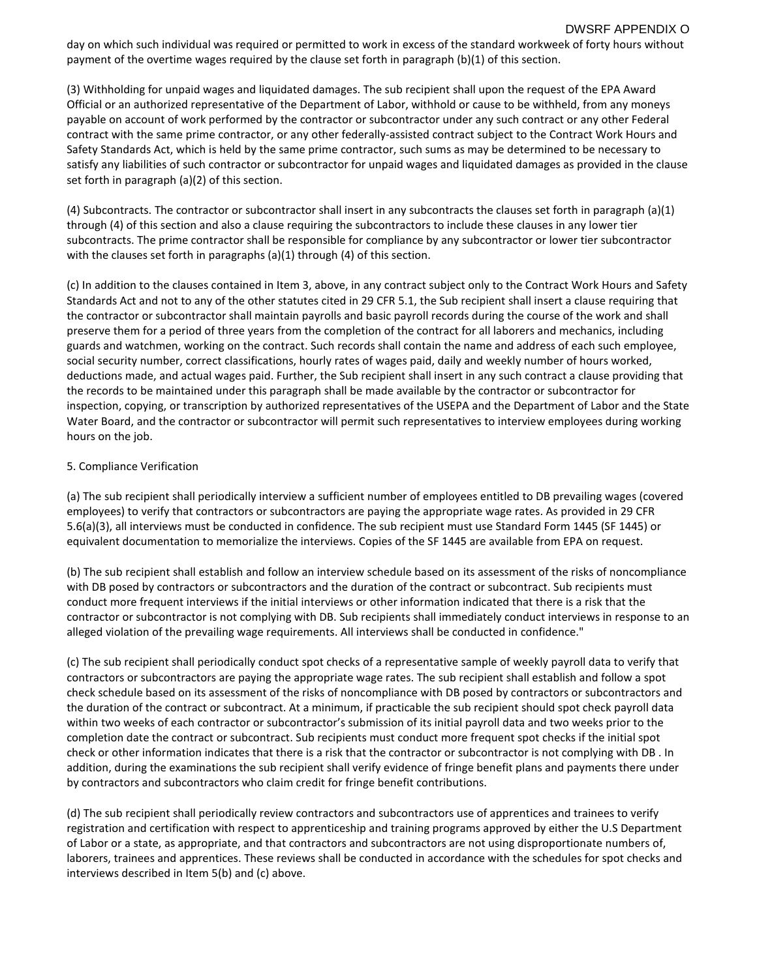day on which such individual was required or permitted to work in excess of the standard workweek of forty hours without payment of the overtime wages required by the clause set forth in paragraph (b)(1) of this section.

(3) Withholding for unpaid wages and liquidated damages. The sub recipient shall upon the request of the EPA Award Official or an authorized representative of the Department of Labor, withhold or cause to be withheld, from any moneys payable on account of work performed by the contractor or subcontractor under any such contract or any other Federal contract with the same prime contractor, or any other federally-assisted contract subject to the Contract Work Hours and Safety Standards Act, which is held by the same prime contractor, such sums as may be determined to be necessary to satisfy any liabilities of such contractor or subcontractor for unpaid wages and liquidated damages as provided in the clause set forth in paragraph (a)(2) of this section.

(4) Subcontracts. The contractor or subcontractor shall insert in any subcontracts the clauses set forth in paragraph (a)(1) through (4) of this section and also a clause requiring the subcontractors to include these clauses in any lower tier subcontracts. The prime contractor shall be responsible for compliance by any subcontractor or lower tier subcontractor with the clauses set forth in paragraphs (a)(1) through (4) of this section.

(c) In addition to the clauses contained in Item 3, above, in any contract subject only to the Contract Work Hours and Safety Standards Act and not to any of the other statutes cited in 29 CFR 5.1, the Sub recipient shall insert a clause requiring that the contractor or subcontractor shall maintain payrolls and basic payroll records during the course of the work and shall preserve them for a period of three years from the completion of the contract for all laborers and mechanics, including guards and watchmen, working on the contract. Such records shall contain the name and address of each such employee, social security number, correct classifications, hourly rates of wages paid, daily and weekly number of hours worked, deductions made, and actual wages paid. Further, the Sub recipient shall insert in any such contract a clause providing that the records to be maintained under this paragraph shall be made available by the contractor or subcontractor for inspection, copying, or transcription by authorized representatives of the USEPA and the Department of Labor and the State Water Board, and the contractor or subcontractor will permit such representatives to interview employees during working hours on the job.

### 5. Compliance Verification

(a) The sub recipient shall periodically interview a sufficient number of employees entitled to DB prevailing wages (covered employees) to verify that contractors or subcontractors are paying the appropriate wage rates. As provided in 29 CFR 5.6(a)(3), all interviews must be conducted in confidence. The sub recipient must use Standard Form 1445 (SF 1445) or equivalent documentation to memorialize the interviews. Copies of the SF 1445 are available from EPA on request.

(b) The sub recipient shall establish and follow an interview schedule based on its assessment of the risks of noncompliance with DB posed by contractors or subcontractors and the duration of the contract or subcontract. Sub recipients must conduct more frequent interviews if the initial interviews or other information indicated that there is a risk that the contractor or subcontractor is not complying with DB. Sub recipients shall immediately conduct interviews in response to an alleged violation of the prevailing wage requirements. All interviews shall be conducted in confidence."

(c) The sub recipient shall periodically conduct spot checks of a representative sample of weekly payroll data to verify that contractors or subcontractors are paying the appropriate wage rates. The sub recipient shall establish and follow a spot check schedule based on its assessment of the risks of noncompliance with DB posed by contractors or subcontractors and the duration of the contract or subcontract. At a minimum, if practicable the sub recipient should spot check payroll data within two weeks of each contractor or subcontractor's submission of its initial payroll data and two weeks prior to the completion date the contract or subcontract. Sub recipients must conduct more frequent spot checks if the initial spot check or other information indicates that there is a risk that the contractor or subcontractor is not complying with DB . In addition, during the examinations the sub recipient shall verify evidence of fringe benefit plans and payments there under by contractors and subcontractors who claim credit for fringe benefit contributions.

(d) The sub recipient shall periodically review contractors and subcontractors use of apprentices and trainees to verify registration and certification with respect to apprenticeship and training programs approved by either the U.S Department of Labor or a state, as appropriate, and that contractors and subcontractors are not using disproportionate numbers of, laborers, trainees and apprentices. These reviews shall be conducted in accordance with the schedules for spot checks and interviews described in Item 5(b) and (c) above.